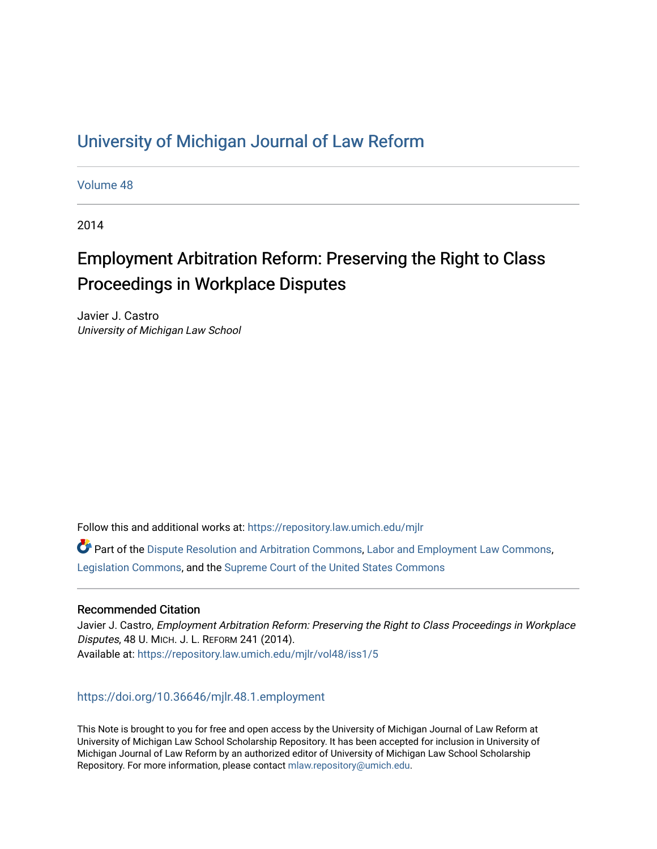## [University of Michigan Journal of Law Reform](https://repository.law.umich.edu/mjlr)

[Volume 48](https://repository.law.umich.edu/mjlr/vol48)

2014

# Employment Arbitration Reform: Preserving the Right to Class Proceedings in Workplace Disputes

Javier J. Castro University of Michigan Law School

Follow this and additional works at: [https://repository.law.umich.edu/mjlr](https://repository.law.umich.edu/mjlr?utm_source=repository.law.umich.edu%2Fmjlr%2Fvol48%2Fiss1%2F5&utm_medium=PDF&utm_campaign=PDFCoverPages) 

Part of the [Dispute Resolution and Arbitration Commons,](https://network.bepress.com/hgg/discipline/890?utm_source=repository.law.umich.edu%2Fmjlr%2Fvol48%2Fiss1%2F5&utm_medium=PDF&utm_campaign=PDFCoverPages) [Labor and Employment Law Commons](https://network.bepress.com/hgg/discipline/909?utm_source=repository.law.umich.edu%2Fmjlr%2Fvol48%2Fiss1%2F5&utm_medium=PDF&utm_campaign=PDFCoverPages), [Legislation Commons](https://network.bepress.com/hgg/discipline/859?utm_source=repository.law.umich.edu%2Fmjlr%2Fvol48%2Fiss1%2F5&utm_medium=PDF&utm_campaign=PDFCoverPages), and the [Supreme Court of the United States Commons](https://network.bepress.com/hgg/discipline/1350?utm_source=repository.law.umich.edu%2Fmjlr%2Fvol48%2Fiss1%2F5&utm_medium=PDF&utm_campaign=PDFCoverPages) 

## Recommended Citation

Javier J. Castro, Employment Arbitration Reform: Preserving the Right to Class Proceedings in Workplace Disputes, 48 U. MICH. J. L. REFORM 241 (2014). Available at: [https://repository.law.umich.edu/mjlr/vol48/iss1/5](https://repository.law.umich.edu/mjlr/vol48/iss1/5?utm_source=repository.law.umich.edu%2Fmjlr%2Fvol48%2Fiss1%2F5&utm_medium=PDF&utm_campaign=PDFCoverPages) 

<https://doi.org/10.36646/mjlr.48.1.employment>

This Note is brought to you for free and open access by the University of Michigan Journal of Law Reform at University of Michigan Law School Scholarship Repository. It has been accepted for inclusion in University of Michigan Journal of Law Reform by an authorized editor of University of Michigan Law School Scholarship Repository. For more information, please contact [mlaw.repository@umich.edu](mailto:mlaw.repository@umich.edu).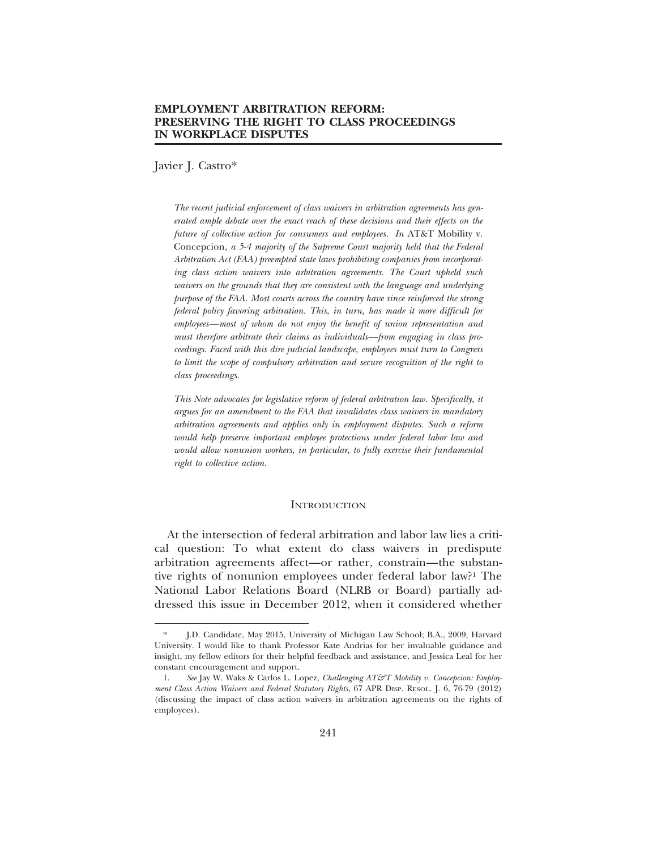Javier J. Castro\*

*The recent judicial enforcement of class waivers in arbitration agreements has generated ample debate over the exact reach of these decisions and their effects on the future of collective action for consumers and employees. In* AT&T Mobility v. Concepcion*, a 5-4 majority of the Supreme Court majority held that the Federal Arbitration Act (FAA) preempted state laws prohibiting companies from incorporating class action waivers into arbitration agreements. The Court upheld such waivers on the grounds that they are consistent with the language and underlying purpose of the FAA. Most courts across the country have since reinforced the strong federal policy favoring arbitration. This, in turn, has made it more difficult for employees—most of whom do not enjoy the benefit of union representation and must therefore arbitrate their claims as individuals—from engaging in class proceedings. Faced with this dire judicial landscape, employees must turn to Congress to limit the scope of compulsory arbitration and secure recognition of the right to class proceedings.*

*This Note advocates for legislative reform of federal arbitration law. Specifically, it argues for an amendment to the FAA that invalidates class waivers in mandatory arbitration agreements and applies only in employment disputes. Such a reform would help preserve important employee protections under federal labor law and would allow nonunion workers, in particular, to fully exercise their fundamental right to collective action.*

#### **INTRODUCTION**

At the intersection of federal arbitration and labor law lies a critical question: To what extent do class waivers in predispute arbitration agreements affect—or rather, constrain—the substantive rights of nonunion employees under federal labor law?1 The National Labor Relations Board (NLRB or Board) partially addressed this issue in December 2012, when it considered whether

<sup>\*</sup> J.D. Candidate, May 2015, University of Michigan Law School; B.A., 2009, Harvard University. I would like to thank Professor Kate Andrias for her invaluable guidance and insight, my fellow editors for their helpful feedback and assistance, and Jessica Leal for her constant encouragement and support.

<sup>1.</sup> See Jay W. Waks & Carlos L. Lopez, *Challenging AT&T Mobility v. Concepcion: Employment Class Action Waivers and Federal Statutory Rights*, 67 APR DISP. RESOL. J. 6, 76-79 (2012) (discussing the impact of class action waivers in arbitration agreements on the rights of employees).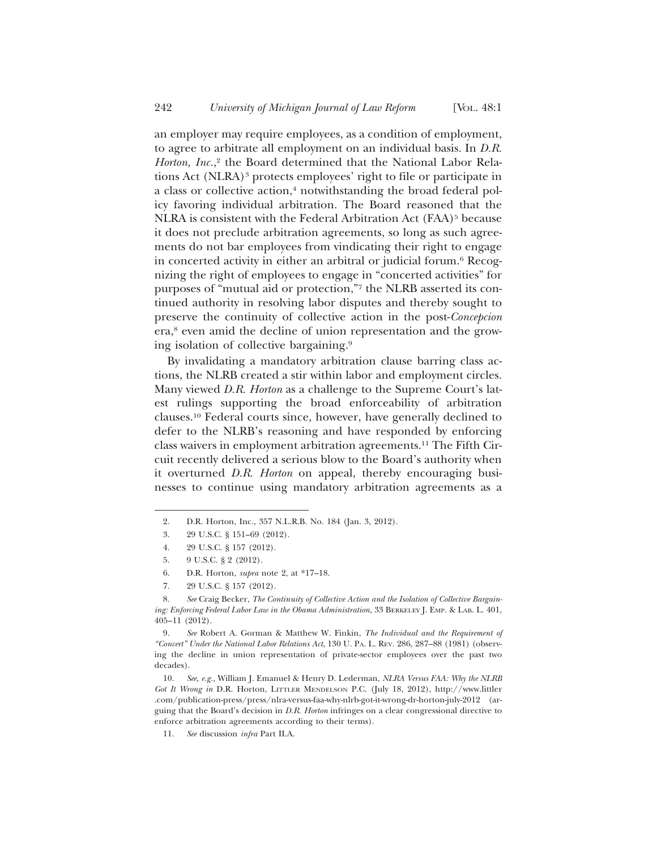an employer may require employees, as a condition of employment, to agree to arbitrate all employment on an individual basis. In *D.R. Horton, Inc.*, 2 the Board determined that the National Labor Relations Act (NLRA)3 protects employees' right to file or participate in a class or collective action,<sup>4</sup> notwithstanding the broad federal policy favoring individual arbitration. The Board reasoned that the NLRA is consistent with the Federal Arbitration Act (FAA)<sup>5</sup> because it does not preclude arbitration agreements, so long as such agreements do not bar employees from vindicating their right to engage in concerted activity in either an arbitral or judicial forum.<sup>6</sup> Recognizing the right of employees to engage in "concerted activities" for purposes of "mutual aid or protection,"7 the NLRB asserted its continued authority in resolving labor disputes and thereby sought to preserve the continuity of collective action in the post-*Concepcion* era,8 even amid the decline of union representation and the growing isolation of collective bargaining.9

By invalidating a mandatory arbitration clause barring class actions, the NLRB created a stir within labor and employment circles. Many viewed *D.R. Horton* as a challenge to the Supreme Court's latest rulings supporting the broad enforceability of arbitration clauses.10 Federal courts since, however, have generally declined to defer to the NLRB's reasoning and have responded by enforcing class waivers in employment arbitration agreements.11 The Fifth Circuit recently delivered a serious blow to the Board's authority when it overturned *D.R. Horton* on appeal, thereby encouraging businesses to continue using mandatory arbitration agreements as a

9. *See* Robert A. Gorman & Matthew W. Finkin, *The Individual and the Requirement of "Concert" Under the National Labor Relations Act*, 130 U. PA. L. REV. 286, 287–88 (1981) (observing the decline in union representation of private-sector employees over the past two decades).

10. *See, e.g.*, William J. Emanuel & Henry D. Lederman, *NLRA Versus FAA: Why the NLRB Got It Wrong in* D.R. Horton, LITTLER MENDELSON P.C. (July 18, 2012), http://www.littler .com/publication-press/press/nlra-versus-faa-why-nlrb-got-it-wrong-dr-horton-july-2012 (arguing that the Board's decision in *D.R. Horton* infringes on a clear congressional directive to enforce arbitration agreements according to their terms).

11. *See* discussion *infra* Part II.A.

<sup>2.</sup> D.R. Horton, Inc., 357 N.L.R.B. No. 184 (Jan. 3, 2012).

<sup>3. 29</sup> U.S.C. § 151–69 (2012).

<sup>4. 29</sup> U.S.C. § 157 (2012).

<sup>5. 9</sup> U.S.C. § 2 (2012).

<sup>6.</sup> D.R. Horton, *supra* note 2, at \*17–18.

<sup>7. 29</sup> U.S.C. § 157 (2012).

<sup>8.</sup> *See* Craig Becker, *The Continuity of Collective Action and the Isolation of Collective Bargaining: Enforcing Federal Labor Law in the Obama Administration*, 33 BERKELEY J. EMP. & LAB. L. 401, 405–11 (2012).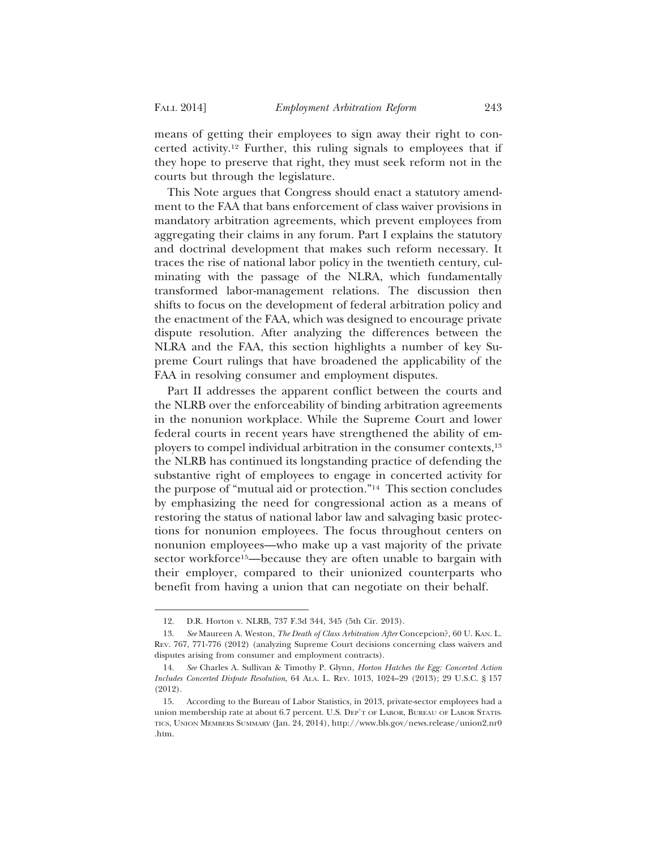means of getting their employees to sign away their right to concerted activity.12 Further, this ruling signals to employees that if they hope to preserve that right, they must seek reform not in the courts but through the legislature.

This Note argues that Congress should enact a statutory amendment to the FAA that bans enforcement of class waiver provisions in mandatory arbitration agreements, which prevent employees from aggregating their claims in any forum. Part I explains the statutory and doctrinal development that makes such reform necessary. It traces the rise of national labor policy in the twentieth century, culminating with the passage of the NLRA, which fundamentally transformed labor-management relations. The discussion then shifts to focus on the development of federal arbitration policy and the enactment of the FAA, which was designed to encourage private dispute resolution. After analyzing the differences between the NLRA and the FAA, this section highlights a number of key Supreme Court rulings that have broadened the applicability of the FAA in resolving consumer and employment disputes.

Part II addresses the apparent conflict between the courts and the NLRB over the enforceability of binding arbitration agreements in the nonunion workplace. While the Supreme Court and lower federal courts in recent years have strengthened the ability of employers to compel individual arbitration in the consumer contexts,<sup>13</sup> the NLRB has continued its longstanding practice of defending the substantive right of employees to engage in concerted activity for the purpose of "mutual aid or protection."14 This section concludes by emphasizing the need for congressional action as a means of restoring the status of national labor law and salvaging basic protections for nonunion employees. The focus throughout centers on nonunion employees—who make up a vast majority of the private sector workforce<sup>15</sup>—because they are often unable to bargain with their employer, compared to their unionized counterparts who benefit from having a union that can negotiate on their behalf.

<sup>12.</sup> D.R. Horton v. NLRB, 737 F.3d 344, 345 (5th Cir. 2013).

<sup>13.</sup> *See* Maureen A. Weston, *The Death of Class Arbitration After* Concepcion?, 60 U. KAN. L. REV. 767, 771-776 (2012) (analyzing Supreme Court decisions concerning class waivers and disputes arising from consumer and employment contracts).

<sup>14.</sup> *See* Charles A. Sullivan & Timothy P. Glynn, *Horton Hatches the Egg: Concerted Action Includes Concerted Dispute Resolution*, 64 ALA. L. REV. 1013, 1024–29 (2013); 29 U.S.C. § 157 (2012).

<sup>15.</sup> According to the Bureau of Labor Statistics, in 2013, private-sector employees had a union membership rate at about 6.7 percent. U.S. DEP'T OF LABOR, BUREAU OF LABOR STATIS-TICS, UNION MEMBERS SUMMARY (Jan. 24, 2014), http://www.bls.gov/news.release/union2.nr0 .htm.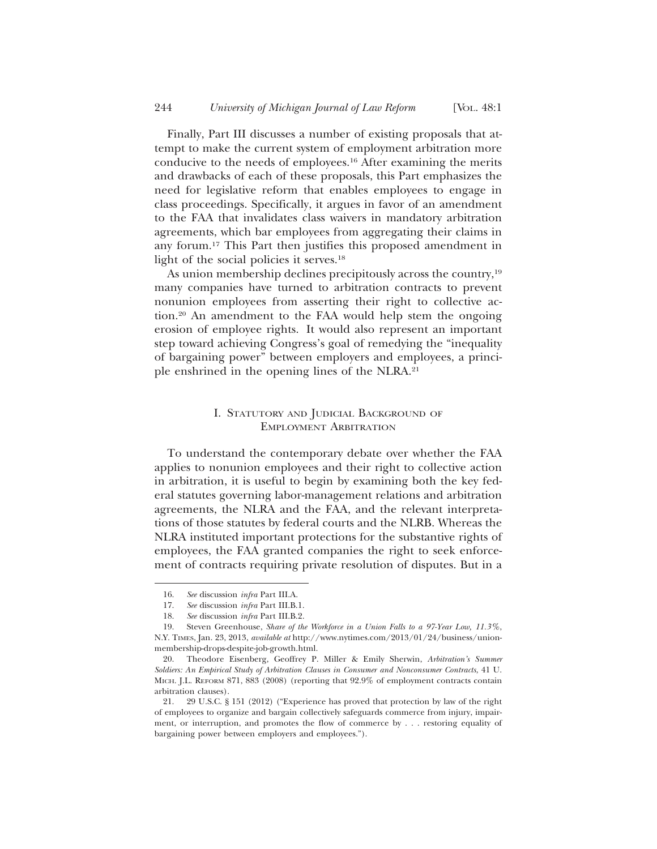Finally, Part III discusses a number of existing proposals that attempt to make the current system of employment arbitration more conducive to the needs of employees.16 After examining the merits and drawbacks of each of these proposals, this Part emphasizes the need for legislative reform that enables employees to engage in class proceedings. Specifically, it argues in favor of an amendment to the FAA that invalidates class waivers in mandatory arbitration agreements, which bar employees from aggregating their claims in any forum.17 This Part then justifies this proposed amendment in light of the social policies it serves.<sup>18</sup>

As union membership declines precipitously across the country,<sup>19</sup> many companies have turned to arbitration contracts to prevent nonunion employees from asserting their right to collective action.20 An amendment to the FAA would help stem the ongoing erosion of employee rights. It would also represent an important step toward achieving Congress's goal of remedying the "inequality of bargaining power" between employers and employees, a principle enshrined in the opening lines of the NLRA.21

## I. STATUTORY AND JUDICIAL BACKGROUND OF EMPLOYMENT ARBITRATION

To understand the contemporary debate over whether the FAA applies to nonunion employees and their right to collective action in arbitration, it is useful to begin by examining both the key federal statutes governing labor-management relations and arbitration agreements, the NLRA and the FAA, and the relevant interpretations of those statutes by federal courts and the NLRB. Whereas the NLRA instituted important protections for the substantive rights of employees, the FAA granted companies the right to seek enforcement of contracts requiring private resolution of disputes. But in a

<sup>16.</sup> *See* discussion *infra* Part III.A.

<sup>17.</sup> *See* discussion *infra* Part III.B.1.

<sup>18.</sup> *See* discussion *infra* Part III.B.2.

<sup>19.</sup> Steven Greenhouse, *Share of the Workforce in a Union Falls to a 97-Year Low, 11.3%*, N.Y. TIMES, Jan. 23, 2013, *available at* http://www.nytimes.com/2013/01/24/business/unionmembership-drops-despite-job-growth.html.

<sup>20.</sup> Theodore Eisenberg, Geoffrey P. Miller & Emily Sherwin, *Arbitration's Summer Soldiers: An Empirical Study of Arbitration Clauses in Consumer and Nonconsumer Contracts*, 41 U. MICH. J.L. REFORM 871, 883 (2008) (reporting that 92.9% of employment contracts contain arbitration clauses).

<sup>21. 29</sup> U.S.C. § 151 (2012) ("Experience has proved that protection by law of the right of employees to organize and bargain collectively safeguards commerce from injury, impairment, or interruption, and promotes the flow of commerce by . . . restoring equality of bargaining power between employers and employees.").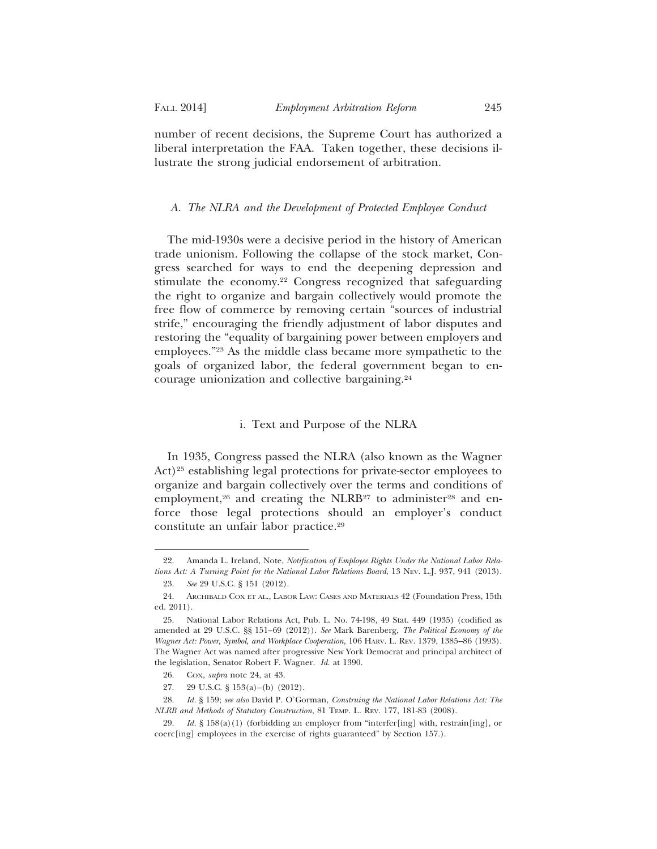number of recent decisions, the Supreme Court has authorized a liberal interpretation the FAA. Taken together, these decisions illustrate the strong judicial endorsement of arbitration.

#### *A. The NLRA and the Development of Protected Employee Conduct*

The mid-1930s were a decisive period in the history of American trade unionism. Following the collapse of the stock market, Congress searched for ways to end the deepening depression and stimulate the economy.22 Congress recognized that safeguarding the right to organize and bargain collectively would promote the free flow of commerce by removing certain "sources of industrial strife," encouraging the friendly adjustment of labor disputes and restoring the "equality of bargaining power between employers and employees."23 As the middle class became more sympathetic to the goals of organized labor, the federal government began to encourage unionization and collective bargaining.24

## i. Text and Purpose of the NLRA

In 1935, Congress passed the NLRA (also known as the Wagner Act)<sup>25</sup> establishing legal protections for private-sector employees to organize and bargain collectively over the terms and conditions of employment,<sup>26</sup> and creating the NLRB<sup>27</sup> to administer<sup>28</sup> and enforce those legal protections should an employer's conduct constitute an unfair labor practice.29

<sup>22.</sup> Amanda L. Ireland, Note, *Notification of Employee Rights Under the National Labor Relations Act: A Turning Point for the National Labor Relations Board*, 13 Nev. L.J. 937, 941 (2013).

<sup>23.</sup> *See* 29 U.S.C. § 151 (2012).

<sup>24.</sup> ARCHIBALD COX ET AL., LABOR LAW: CASES AND MATERIALS 42 (Foundation Press, 15th ed. 2011).

<sup>25.</sup> National Labor Relations Act, Pub. L. No. 74-198, 49 Stat. 449 (1935) (codified as amended at 29 U.S.C. §§ 151–69 (2012)). *See* Mark Barenberg, *The Political Economy of the Wagner Act: Power, Symbol, and Workplace Cooperation*, 106 HARV. L. REV. 1379, 1385–86 (1993). The Wagner Act was named after progressive New York Democrat and principal architect of the legislation, Senator Robert F. Wagner. *Id.* at 1390.

<sup>26.</sup> COX, *supra* note 24, at 43.

<sup>27. 29</sup> U.S.C. § 153(a)–(b) (2012).

<sup>28.</sup> *Id.* § 159; *see also* David P. O'Gorman, *Construing the National Labor Relations Act: The NLRB and Methods of Statutory Construction*, 81 TEMP. L. REV. 177, 181-83 (2008).

<sup>29.</sup> *Id.* § 158(a)(1) (forbidding an employer from "interfer[ing] with, restrain[ing], or coerc[ing] employees in the exercise of rights guaranteed" by Section 157.).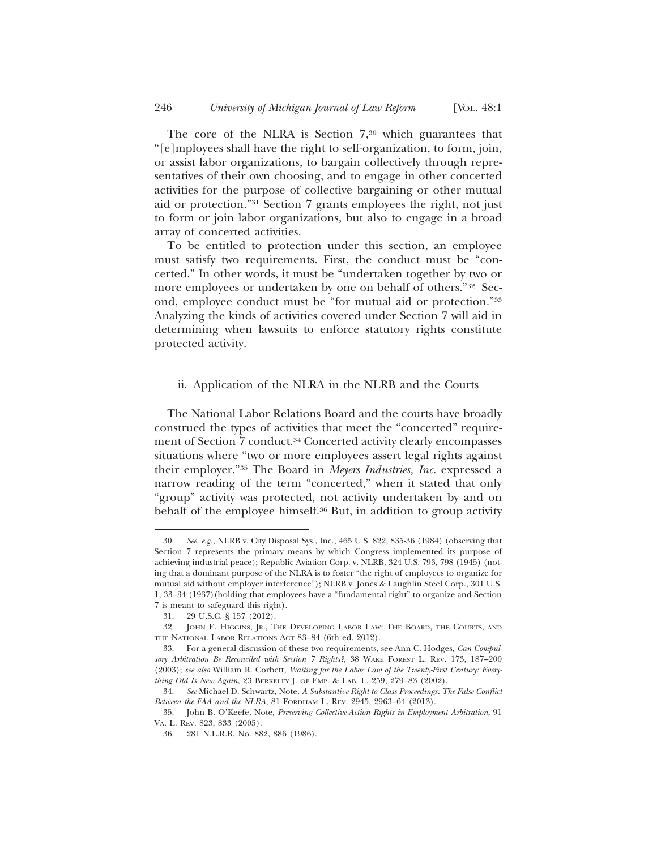The core of the NLRA is Section  $7,30$  which guarantees that "[e]mployees shall have the right to self-organization, to form, join, or assist labor organizations, to bargain collectively through representatives of their own choosing, and to engage in other concerted activities for the purpose of collective bargaining or other mutual aid or protection."31 Section 7 grants employees the right, not just to form or join labor organizations, but also to engage in a broad array of concerted activities.

To be entitled to protection under this section, an employee must satisfy two requirements. First, the conduct must be "concerted." In other words, it must be "undertaken together by two or more employees or undertaken by one on behalf of others."32 Second, employee conduct must be "for mutual aid or protection."33 Analyzing the kinds of activities covered under Section 7 will aid in determining when lawsuits to enforce statutory rights constitute protected activity.

#### ii. Application of the NLRA in the NLRB and the Courts

The National Labor Relations Board and the courts have broadly construed the types of activities that meet the "concerted" requirement of Section 7 conduct.<sup>34</sup> Concerted activity clearly encompasses situations where "two or more employees assert legal rights against their employer."35 The Board in *Meyers Industries, Inc.* expressed a narrow reading of the term "concerted," when it stated that only "group" activity was protected, not activity undertaken by and on behalf of the employee himself.<sup>36</sup> But, in addition to group activity

<sup>30.</sup> *See, e.g.*, NLRB v. City Disposal Sys., Inc., 465 U.S. 822, 835-36 (1984) (observing that Section 7 represents the primary means by which Congress implemented its purpose of achieving industrial peace); Republic Aviation Corp. v. NLRB, 324 U.S. 793, 798 (1945) (noting that a dominant purpose of the NLRA is to foster "the right of employees to organize for mutual aid without employer interference"); NLRB v. Jones & Laughlin Steel Corp., 301 U.S. 1, 33–34 (1937)(holding that employees have a "fundamental right" to organize and Section 7 is meant to safeguard this right).

<sup>31. 29</sup> U.S.C. § 157 (2012).

<sup>32.</sup> JOHN E. HIGGINS, JR., THE DEVELOPING LABOR LAW: THE BOARD, THE COURTS, AND THE NATIONAL LABOR RELATIONS ACT 83–84 (6th ed. 2012).

<sup>33.</sup> For a general discussion of these two requirements, see Ann C. Hodges, *Can Compulsory Arbitration Be Reconciled with Section 7 Rights?*, 38 WAKE FOREST L. REV. 173, 187–200 (2003); *see also* William R. Corbett, *Waiting for the Labor Law of the Twenty-First Century: Everything Old Is New Again*, 23 BERKELEY J. OF EMP. & LAB. L. 259, 279–83 (2002).

<sup>34.</sup> *See* Michael D. Schwartz, Note, *A Substantive Right to Class Proceedings: The False Conflict Between the FAA and the NLRA*, 81 FORDHAM L. REV. 2945, 2963–64 (2013).

<sup>35.</sup> John B. O'Keefe, Note, *Preserving Collective-Action Rights in Employment Arbitration*, 91 VA. L. REV. 823, 833 (2005).

<sup>36. 281</sup> N.L.R.B. No. 882, 886 (1986).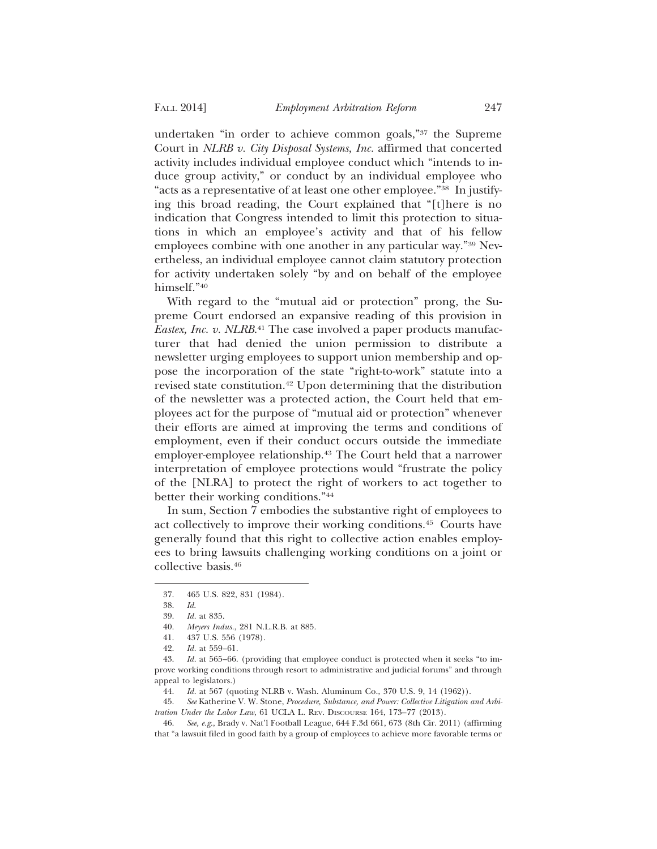undertaken "in order to achieve common goals,"37 the Supreme Court in *NLRB v. City Disposal Systems, Inc.* affirmed that concerted activity includes individual employee conduct which "intends to induce group activity," or conduct by an individual employee who "acts as a representative of at least one other employee."38 In justifying this broad reading, the Court explained that "[t]here is no indication that Congress intended to limit this protection to situations in which an employee's activity and that of his fellow employees combine with one another in any particular way."39 Nevertheless, an individual employee cannot claim statutory protection for activity undertaken solely "by and on behalf of the employee himself."40

With regard to the "mutual aid or protection" prong, the Supreme Court endorsed an expansive reading of this provision in *Eastex, Inc. v. NLRB*. 41 The case involved a paper products manufacturer that had denied the union permission to distribute a newsletter urging employees to support union membership and oppose the incorporation of the state "right-to-work" statute into a revised state constitution.42 Upon determining that the distribution of the newsletter was a protected action, the Court held that employees act for the purpose of "mutual aid or protection" whenever their efforts are aimed at improving the terms and conditions of employment, even if their conduct occurs outside the immediate employer-employee relationship.43 The Court held that a narrower interpretation of employee protections would "frustrate the policy of the [NLRA] to protect the right of workers to act together to better their working conditions."44

In sum, Section 7 embodies the substantive right of employees to act collectively to improve their working conditions.45 Courts have generally found that this right to collective action enables employees to bring lawsuits challenging working conditions on a joint or collective basis.46

<sup>37. 465</sup> U.S. 822, 831 (1984).

<sup>38.</sup> *Id*.

<sup>39.</sup> *Id.* at 835.

<sup>40.</sup> *Meyers Indus.*, 281 N.L.R.B. at 885.

<sup>41. 437</sup> U.S. 556 (1978).

<sup>42.</sup> *Id.* at 559–61.

<sup>43.</sup> *Id.* at 565–66. (providing that employee conduct is protected when it seeks "to improve working conditions through resort to administrative and judicial forums" and through appeal to legislators.)

<sup>44.</sup> *Id.* at 567 (quoting NLRB v. Wash. Aluminum Co., 370 U.S. 9, 14 (1962)).

<sup>45.</sup> *See* Katherine V. W. Stone, *Procedure, Substance, and Power: Collective Litigation and Arbitration Under the Labor Law*, 61 UCLA L. REV. DISCOURSE 164, 173-77 (2013).

<sup>46.</sup> *See, e.g.*, Brady v. Nat'l Football League, 644 F.3d 661, 673 (8th Cir. 2011) (affirming that "a lawsuit filed in good faith by a group of employees to achieve more favorable terms or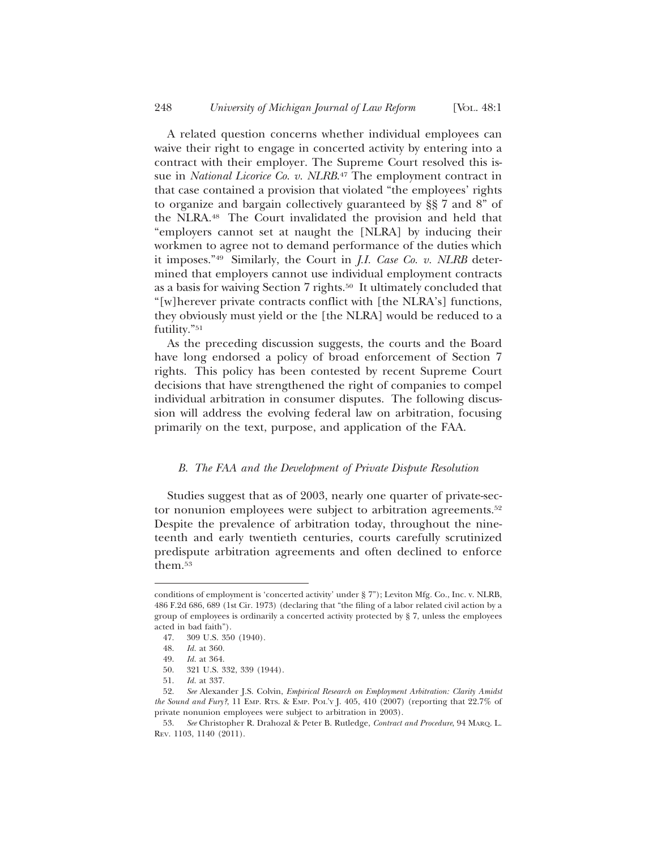A related question concerns whether individual employees can waive their right to engage in concerted activity by entering into a contract with their employer. The Supreme Court resolved this issue in *National Licorice Co. v. NLRB*. 47 The employment contract in that case contained a provision that violated "the employees' rights to organize and bargain collectively guaranteed by §§ 7 and 8" of the NLRA.48 The Court invalidated the provision and held that "employers cannot set at naught the [NLRA] by inducing their workmen to agree not to demand performance of the duties which it imposes."49 Similarly, the Court in *J.I. Case Co. v. NLRB* determined that employers cannot use individual employment contracts as a basis for waiving Section 7 rights.50 It ultimately concluded that "[w]herever private contracts conflict with [the NLRA's] functions, they obviously must yield or the [the NLRA] would be reduced to a futility."51

As the preceding discussion suggests, the courts and the Board have long endorsed a policy of broad enforcement of Section 7 rights. This policy has been contested by recent Supreme Court decisions that have strengthened the right of companies to compel individual arbitration in consumer disputes. The following discussion will address the evolving federal law on arbitration, focusing primarily on the text, purpose, and application of the FAA.

### *B. The FAA and the Development of Private Dispute Resolution*

Studies suggest that as of 2003, nearly one quarter of private-sector nonunion employees were subject to arbitration agreements.<sup>52</sup> Despite the prevalence of arbitration today, throughout the nineteenth and early twentieth centuries, courts carefully scrutinized predispute arbitration agreements and often declined to enforce them.53

conditions of employment is 'concerted activity' under § 7"); Leviton Mfg. Co., Inc. v. NLRB, 486 F.2d 686, 689 (1st Cir. 1973) (declaring that "the filing of a labor related civil action by a group of employees is ordinarily a concerted activity protected by § 7, unless the employees acted in bad faith").

<sup>47. 309</sup> U.S. 350 (1940).

<sup>48.</sup> *Id.* at 360.

<sup>49.</sup> *Id.* at 364.

<sup>50. 321</sup> U.S. 332, 339 (1944).

<sup>51.</sup> *Id.* at 337.

<sup>52.</sup> *See* Alexander J.S. Colvin, *Empirical Research on Employment Arbitration: Clarity Amidst the Sound and Fury?*, 11 EMP. RTS. & EMP. POL'Y J. 405, 410 (2007) (reporting that 22.7% of private nonunion employees were subject to arbitration in 2003).

<sup>53.</sup> *See* Christopher R. Drahozal & Peter B. Rutledge, *Contract and Procedure*, 94 MARQ. L. REV. 1103, 1140 (2011).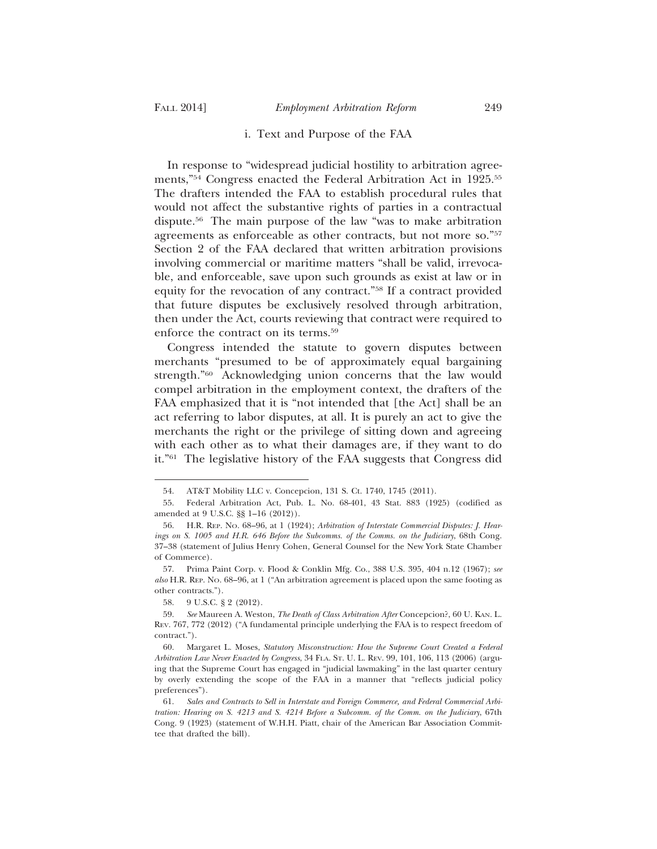#### i. Text and Purpose of the FAA

In response to "widespread judicial hostility to arbitration agreements,"54 Congress enacted the Federal Arbitration Act in 1925.55 The drafters intended the FAA to establish procedural rules that would not affect the substantive rights of parties in a contractual dispute.56 The main purpose of the law "was to make arbitration agreements as enforceable as other contracts, but not more so."57 Section 2 of the FAA declared that written arbitration provisions involving commercial or maritime matters "shall be valid, irrevocable, and enforceable, save upon such grounds as exist at law or in equity for the revocation of any contract."58 If a contract provided that future disputes be exclusively resolved through arbitration, then under the Act, courts reviewing that contract were required to enforce the contract on its terms.59

Congress intended the statute to govern disputes between merchants "presumed to be of approximately equal bargaining strength."60 Acknowledging union concerns that the law would compel arbitration in the employment context, the drafters of the FAA emphasized that it is "not intended that [the Act] shall be an act referring to labor disputes, at all. It is purely an act to give the merchants the right or the privilege of sitting down and agreeing with each other as to what their damages are, if they want to do it."61 The legislative history of the FAA suggests that Congress did

<sup>54.</sup> AT&T Mobility LLC v. Concepcion, 131 S. Ct. 1740, 1745 (2011).

<sup>55.</sup> Federal Arbitration Act, Pub. L. No. 68-401, 43 Stat. 883 (1925) (codified as amended at 9 U.S.C. §§ 1–16 (2012)).

<sup>56.</sup> H.R. REP. NO. 68–96, at 1 (1924); *Arbitration of Interstate Commercial Disputes: J. Hearings on S. 1005 and H.R. 646 Before the Subcomms. of the Comms. on the Judiciary*, 68th Cong. 37–38 (statement of Julius Henry Cohen, General Counsel for the New York State Chamber of Commerce).

<sup>57.</sup> Prima Paint Corp. v. Flood & Conklin Mfg. Co., 388 U.S. 395, 404 n.12 (1967); *see also* H.R. REP. NO. 68–96, at 1 ("An arbitration agreement is placed upon the same footing as other contracts.").

<sup>58. 9</sup> U.S.C. § 2 (2012).

<sup>59.</sup> *See* Maureen A. Weston, *The Death of Class Arbitration After* Concepcion?, 60 U. KAN. L. REV. 767, 772 (2012) ("A fundamental principle underlying the FAA is to respect freedom of contract.").

<sup>60.</sup> Margaret L. Moses, *Statutory Misconstruction: How the Supreme Court Created a Federal Arbitration Law Never Enacted by Congress*, 34 FLA. ST. U. L. REV. 99, 101, 106, 113 (2006) (arguing that the Supreme Court has engaged in "judicial lawmaking" in the last quarter century by overly extending the scope of the FAA in a manner that "reflects judicial policy preferences").

<sup>61.</sup> *Sales and Contracts to Sell in Interstate and Foreign Commerce, and Federal Commercial Arbitration: Hearing on S. 4213 and S. 4214 Before a Subcomm. of the Comm. on the Judiciary*, 67th Cong. 9 (1923) (statement of W.H.H. Piatt, chair of the American Bar Association Committee that drafted the bill).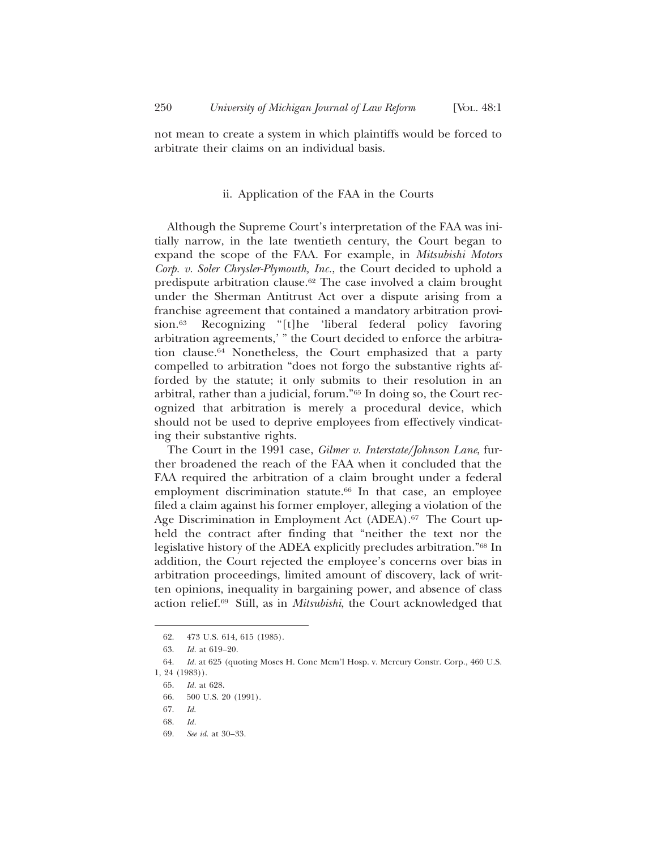not mean to create a system in which plaintiffs would be forced to arbitrate their claims on an individual basis.

### ii. Application of the FAA in the Courts

Although the Supreme Court's interpretation of the FAA was initially narrow, in the late twentieth century, the Court began to expand the scope of the FAA. For example, in *Mitsubishi Motors Corp. v. Soler Chrysler-Plymouth, Inc.*, the Court decided to uphold a predispute arbitration clause.62 The case involved a claim brought under the Sherman Antitrust Act over a dispute arising from a franchise agreement that contained a mandatory arbitration provision.63 Recognizing "[t]he 'liberal federal policy favoring arbitration agreements,' " the Court decided to enforce the arbitration clause.64 Nonetheless, the Court emphasized that a party compelled to arbitration "does not forgo the substantive rights afforded by the statute; it only submits to their resolution in an arbitral, rather than a judicial, forum."65 In doing so, the Court recognized that arbitration is merely a procedural device, which should not be used to deprive employees from effectively vindicating their substantive rights.

The Court in the 1991 case, *Gilmer v. Interstate/Johnson Lane*, further broadened the reach of the FAA when it concluded that the FAA required the arbitration of a claim brought under a federal employment discrimination statute.<sup>66</sup> In that case, an employee filed a claim against his former employer, alleging a violation of the Age Discrimination in Employment Act (ADEA).<sup>67</sup> The Court upheld the contract after finding that "neither the text nor the legislative history of the ADEA explicitly precludes arbitration."68 In addition, the Court rejected the employee's concerns over bias in arbitration proceedings, limited amount of discovery, lack of written opinions, inequality in bargaining power, and absence of class action relief.69 Still, as in *Mitsubishi*, the Court acknowledged that

<sup>62. 473</sup> U.S. 614, 615 (1985).

<sup>63.</sup> *Id.* at 619–20.

<sup>64.</sup> *Id.* at 625 (quoting Moses H. Cone Mem'l Hosp. v. Mercury Constr. Corp., 460 U.S. 1, 24 (1983)).

<sup>65.</sup> *Id.* at 628.

<sup>66. 500</sup> U.S. 20 (1991).

<sup>67.</sup> *Id*.

<sup>68.</sup> *Id.*

<sup>69.</sup> *See id*. at 30–33.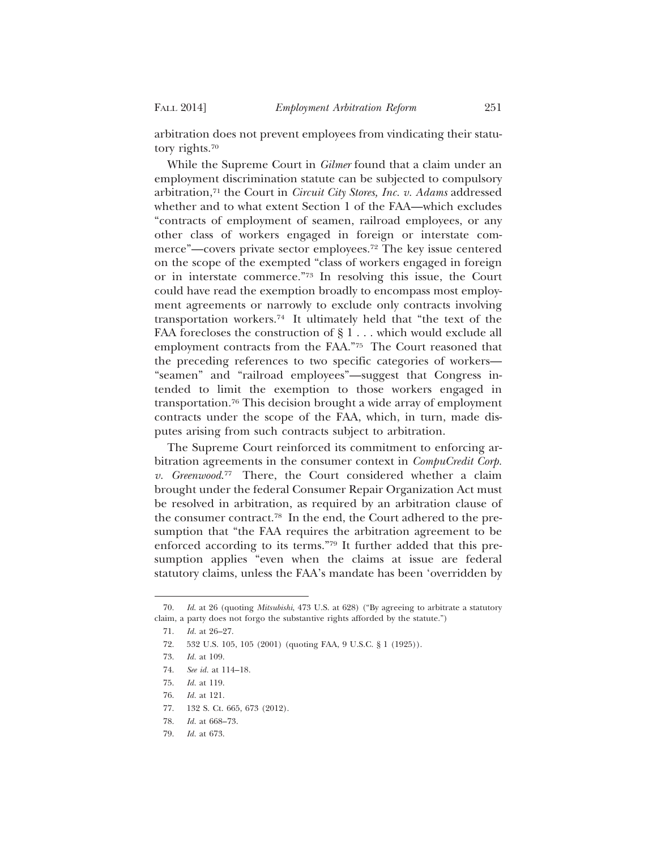arbitration does not prevent employees from vindicating their statutory rights.70

While the Supreme Court in *Gilmer* found that a claim under an employment discrimination statute can be subjected to compulsory arbitration,71 the Court in *Circuit City Stores, Inc. v. Adams* addressed whether and to what extent Section 1 of the FAA—which excludes "contracts of employment of seamen, railroad employees, or any other class of workers engaged in foreign or interstate commerce"—covers private sector employees.72 The key issue centered on the scope of the exempted "class of workers engaged in foreign or in interstate commerce."73 In resolving this issue, the Court could have read the exemption broadly to encompass most employment agreements or narrowly to exclude only contracts involving transportation workers.74 It ultimately held that "the text of the FAA forecloses the construction of  $\S 1$ ... which would exclude all employment contracts from the FAA."75 The Court reasoned that the preceding references to two specific categories of workers— "seamen" and "railroad employees"—suggest that Congress intended to limit the exemption to those workers engaged in transportation.76 This decision brought a wide array of employment contracts under the scope of the FAA, which, in turn, made disputes arising from such contracts subject to arbitration.

The Supreme Court reinforced its commitment to enforcing arbitration agreements in the consumer context in *CompuCredit Corp. v. Greenwood*. 77 There, the Court considered whether a claim brought under the federal Consumer Repair Organization Act must be resolved in arbitration, as required by an arbitration clause of the consumer contract.78 In the end, the Court adhered to the presumption that "the FAA requires the arbitration agreement to be enforced according to its terms."79 It further added that this presumption applies "even when the claims at issue are federal statutory claims, unless the FAA's mandate has been 'overridden by

<sup>70.</sup> *Id*. at 26 (quoting *Mitsubishi*, 473 U.S. at 628) ("By agreeing to arbitrate a statutory claim, a party does not forgo the substantive rights afforded by the statute.")

<sup>71.</sup> *Id.* at 26–27.

<sup>72. 532</sup> U.S. 105, 105 (2001) (quoting FAA, 9 U.S.C. § 1 (1925)).

<sup>73.</sup> *Id.* at 109.

<sup>74.</sup> *See id.* at 114–18.

<sup>75.</sup> *Id.* at 119.

<sup>76.</sup> *Id.* at 121.

<sup>77. 132</sup> S. Ct. 665, 673 (2012).

<sup>78.</sup> *Id.* at 668–73.

<sup>79.</sup> *Id.* at 673.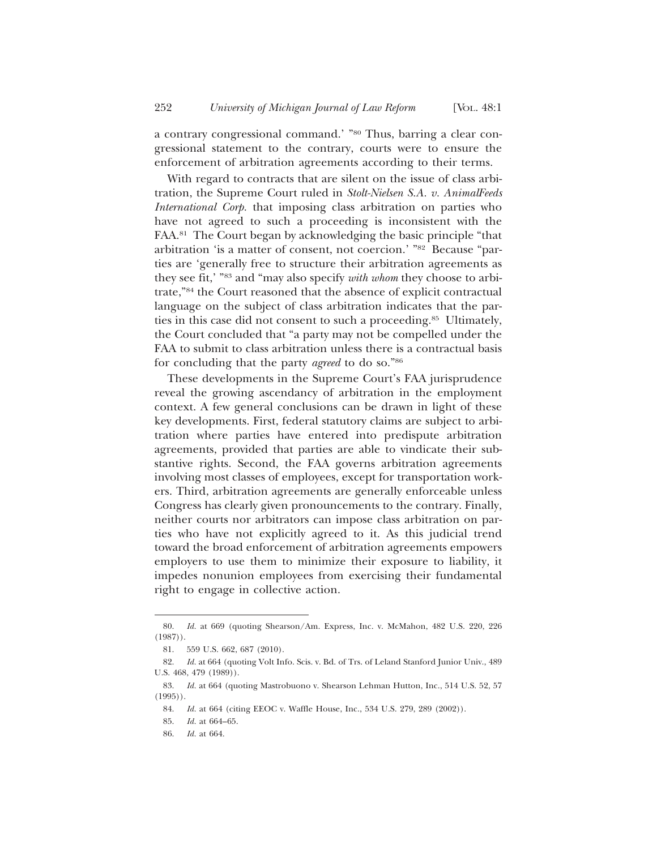a contrary congressional command.' "80 Thus, barring a clear congressional statement to the contrary, courts were to ensure the enforcement of arbitration agreements according to their terms.

With regard to contracts that are silent on the issue of class arbitration, the Supreme Court ruled in *Stolt-Nielsen S.A. v. AnimalFeeds International Corp.* that imposing class arbitration on parties who have not agreed to such a proceeding is inconsistent with the FAA.81 The Court began by acknowledging the basic principle "that arbitration 'is a matter of consent, not coercion.' "82 Because "parties are 'generally free to structure their arbitration agreements as they see fit,' "83 and "may also specify *with whom* they choose to arbitrate,"84 the Court reasoned that the absence of explicit contractual language on the subject of class arbitration indicates that the parties in this case did not consent to such a proceeding.85 Ultimately, the Court concluded that "a party may not be compelled under the FAA to submit to class arbitration unless there is a contractual basis for concluding that the party *agreed* to do so."86

These developments in the Supreme Court's FAA jurisprudence reveal the growing ascendancy of arbitration in the employment context. A few general conclusions can be drawn in light of these key developments. First, federal statutory claims are subject to arbitration where parties have entered into predispute arbitration agreements, provided that parties are able to vindicate their substantive rights. Second, the FAA governs arbitration agreements involving most classes of employees, except for transportation workers. Third, arbitration agreements are generally enforceable unless Congress has clearly given pronouncements to the contrary. Finally, neither courts nor arbitrators can impose class arbitration on parties who have not explicitly agreed to it. As this judicial trend toward the broad enforcement of arbitration agreements empowers employers to use them to minimize their exposure to liability, it impedes nonunion employees from exercising their fundamental right to engage in collective action.

<sup>80.</sup> *Id.* at 669 (quoting Shearson/Am. Express, Inc. v. McMahon, 482 U.S. 220, 226 (1987)).

<sup>81. 559</sup> U.S. 662, 687 (2010).

<sup>82.</sup> *Id.* at 664 (quoting Volt Info. Scis. v. Bd. of Trs. of Leland Stanford Junior Univ., 489 U.S. 468, 479 (1989)).

<sup>83.</sup> *Id.* at 664 (quoting Mastrobuono v. Shearson Lehman Hutton, Inc., 514 U.S. 52, 57 (1995)).

<sup>84.</sup> *Id.* at 664 (citing EEOC v. Waffle House, Inc., 534 U.S. 279, 289 (2002)).

<sup>85.</sup> *Id.* at 664–65.

<sup>86.</sup> *Id.* at 664.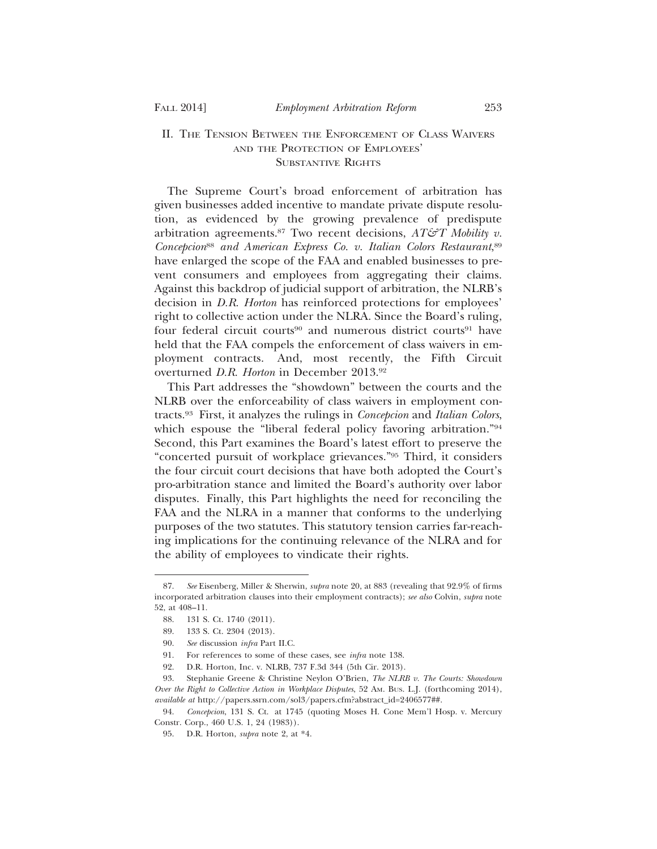## II. THE TENSION BETWEEN THE ENFORCEMENT OF CLASS WAIVERS AND THE PROTECTION OF EMPLOYEES' SUBSTANTIVE RIGHTS

The Supreme Court's broad enforcement of arbitration has given businesses added incentive to mandate private dispute resolution, as evidenced by the growing prevalence of predispute arbitration agreements.<sup>87</sup> Two recent decisions,  $AT\mathcal{C}T$  Mobility v. *Concepcion*<sup>88</sup> *and American Express Co. v. Italian Colors Restaurant*, 89 have enlarged the scope of the FAA and enabled businesses to prevent consumers and employees from aggregating their claims. Against this backdrop of judicial support of arbitration, the NLRB's decision in *D.R. Horton* has reinforced protections for employees' right to collective action under the NLRA. Since the Board's ruling, four federal circuit courts<sup>90</sup> and numerous district courts<sup>91</sup> have held that the FAA compels the enforcement of class waivers in employment contracts. And, most recently, the Fifth Circuit overturned *D.R. Horton* in December 2013.92

This Part addresses the "showdown" between the courts and the NLRB over the enforceability of class waivers in employment contracts.93 First, it analyzes the rulings in *Concepcion* and *Italian Colors*, which espouse the "liberal federal policy favoring arbitration."<sup>94</sup> Second, this Part examines the Board's latest effort to preserve the "concerted pursuit of workplace grievances."95 Third, it considers the four circuit court decisions that have both adopted the Court's pro-arbitration stance and limited the Board's authority over labor disputes. Finally, this Part highlights the need for reconciling the FAA and the NLRA in a manner that conforms to the underlying purposes of the two statutes. This statutory tension carries far-reaching implications for the continuing relevance of the NLRA and for the ability of employees to vindicate their rights.

<sup>87.</sup> *See* Eisenberg, Miller & Sherwin, *supra* note 20, at 883 (revealing that 92.9% of firms incorporated arbitration clauses into their employment contracts); *see also* Colvin, *supra* note 52, at 408–11.

<sup>88. 131</sup> S. Ct. 1740 (2011).

<sup>89. 133</sup> S. Ct. 2304 (2013).

<sup>90.</sup> *See* discussion *infra* Part II.C.

<sup>91.</sup> For references to some of these cases, see *infra* note 138.

<sup>92.</sup> D.R. Horton, Inc. v. NLRB, 737 F.3d 344 (5th Cir. 2013).

<sup>93.</sup> Stephanie Greene & Christine Neylon O'Brien, *The NLRB v. The Courts: Showdown Over the Right to Collective Action in Workplace Disputes*, 52 AM. BUS. L.J. (forthcoming 2014), *available at* http://papers.ssrn.com/sol3/papers.cfm?abstract\_id=2406577##.

<sup>94.</sup> *Concepcion*, 131 S. Ct. at 1745 (quoting Moses H. Cone Mem'l Hosp. v. Mercury Constr. Corp., 460 U.S. 1, 24 (1983)).

<sup>95.</sup> D.R. Horton, *supra* note 2, at \*4.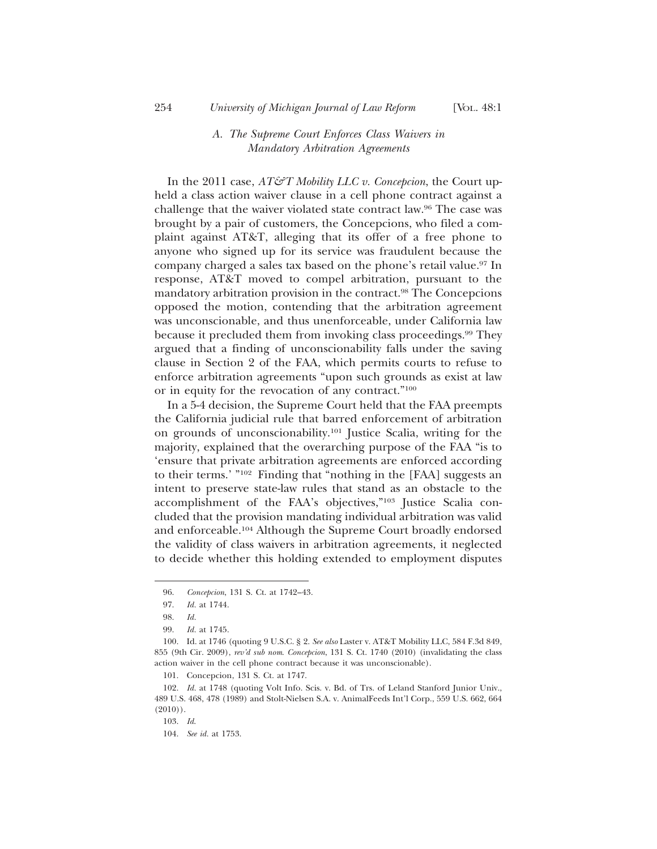## *A. The Supreme Court Enforces Class Waivers in Mandatory Arbitration Agreements*

In the 2011 case,  $AT\mathcal{F}T$  *Mobility LLC v. Concepcion*, the Court upheld a class action waiver clause in a cell phone contract against a challenge that the waiver violated state contract law.96 The case was brought by a pair of customers, the Concepcions, who filed a complaint against AT&T, alleging that its offer of a free phone to anyone who signed up for its service was fraudulent because the company charged a sales tax based on the phone's retail value.<sup>97</sup> In response, AT&T moved to compel arbitration, pursuant to the mandatory arbitration provision in the contract.<sup>98</sup> The Concepcions opposed the motion, contending that the arbitration agreement was unconscionable, and thus unenforceable, under California law because it precluded them from invoking class proceedings.<sup>99</sup> They argued that a finding of unconscionability falls under the saving clause in Section 2 of the FAA, which permits courts to refuse to enforce arbitration agreements "upon such grounds as exist at law or in equity for the revocation of any contract."100

In a 5-4 decision, the Supreme Court held that the FAA preempts the California judicial rule that barred enforcement of arbitration on grounds of unconscionability.101 Justice Scalia, writing for the majority, explained that the overarching purpose of the FAA "is to 'ensure that private arbitration agreements are enforced according to their terms.' "102 Finding that "nothing in the [FAA] suggests an intent to preserve state-law rules that stand as an obstacle to the accomplishment of the FAA's objectives,"103 Justice Scalia concluded that the provision mandating individual arbitration was valid and enforceable.104 Although the Supreme Court broadly endorsed the validity of class waivers in arbitration agreements, it neglected to decide whether this holding extended to employment disputes

103. *Id*.

<sup>96.</sup> *Concepcion*, 131 S. Ct. at 1742–43.

<sup>97.</sup> *Id.* at 1744.

<sup>98.</sup> *Id.*

<sup>99.</sup> *Id.* at 1745.

<sup>100.</sup> Id. at 1746 (quoting 9 U.S.C. § 2. *See also* Laster v. AT&T Mobility LLC, 584 F.3d 849, 855 (9th Cir. 2009), *rev'd sub nom*. *Concepcion*, 131 S. Ct. 1740 (2010) (invalidating the class action waiver in the cell phone contract because it was unconscionable).

<sup>101.</sup> Concepcion, 131 S. Ct. at 1747.

<sup>102.</sup> *Id.* at 1748 (quoting Volt Info. Scis. v. Bd. of Trs. of Leland Stanford Junior Univ., 489 U.S. 468, 478 (1989) and Stolt-Nielsen S.A. v. AnimalFeeds Int'l Corp., 559 U.S. 662, 664  $(2010)$ .

<sup>104.</sup> *See id.* at 1753.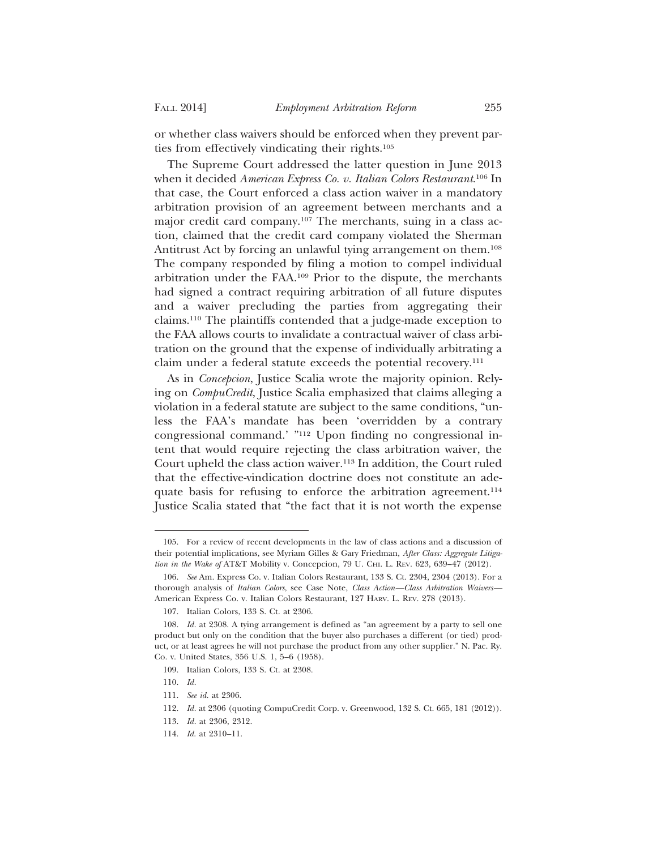or whether class waivers should be enforced when they prevent parties from effectively vindicating their rights.105

The Supreme Court addressed the latter question in June 2013 when it decided *American Express Co. v. Italian Colors Restaurant*. 106 In that case, the Court enforced a class action waiver in a mandatory arbitration provision of an agreement between merchants and a major credit card company.107 The merchants, suing in a class action, claimed that the credit card company violated the Sherman Antitrust Act by forcing an unlawful tying arrangement on them.<sup>108</sup> The company responded by filing a motion to compel individual arbitration under the FAA.109 Prior to the dispute, the merchants had signed a contract requiring arbitration of all future disputes and a waiver precluding the parties from aggregating their claims.110 The plaintiffs contended that a judge-made exception to the FAA allows courts to invalidate a contractual waiver of class arbitration on the ground that the expense of individually arbitrating a claim under a federal statute exceeds the potential recovery.111

As in *Concepcion*, Justice Scalia wrote the majority opinion. Relying on *CompuCredit*, Justice Scalia emphasized that claims alleging a violation in a federal statute are subject to the same conditions, "unless the FAA's mandate has been 'overridden by a contrary congressional command.' "112 Upon finding no congressional intent that would require rejecting the class arbitration waiver, the Court upheld the class action waiver.113 In addition, the Court ruled that the effective-vindication doctrine does not constitute an adequate basis for refusing to enforce the arbitration agreement.<sup>114</sup> Justice Scalia stated that "the fact that it is not worth the expense

<sup>105.</sup> For a review of recent developments in the law of class actions and a discussion of their potential implications, see Myriam Gilles & Gary Friedman, *After Class: Aggregate Litigation in the Wake of* AT&T Mobility v. Concepcion, 79 U. CHI. L. REV. 623, 639–47 (2012).

<sup>106.</sup> *See* Am. Express Co. v. Italian Colors Restaurant, 133 S. Ct. 2304, 2304 (2013). For a thorough analysis of *Italian Colors*, see Case Note, *Class Action—Class Arbitration Waivers—* American Express Co. v. Italian Colors Restaurant, 127 HARV. L. REV. 278 (2013).

<sup>107.</sup> Italian Colors, 133 S. Ct. at 2306.

<sup>108.</sup> *Id.* at 2308. A tying arrangement is defined as "an agreement by a party to sell one product but only on the condition that the buyer also purchases a different (or tied) product, or at least agrees he will not purchase the product from any other supplier." N. Pac. Ry. Co. v. United States, 356 U.S. 1, 5–6 (1958).

<sup>109.</sup> Italian Colors, 133 S. Ct. at 2308.

<sup>110.</sup> *Id.*

<sup>111.</sup> *See id.* at 2306.

<sup>112.</sup> *Id.* at 2306 (quoting CompuCredit Corp. v. Greenwood, 132 S. Ct. 665, 181 (2012)).

<sup>113.</sup> *Id.* at 2306, 2312.

<sup>114.</sup> *Id*. at 2310–11.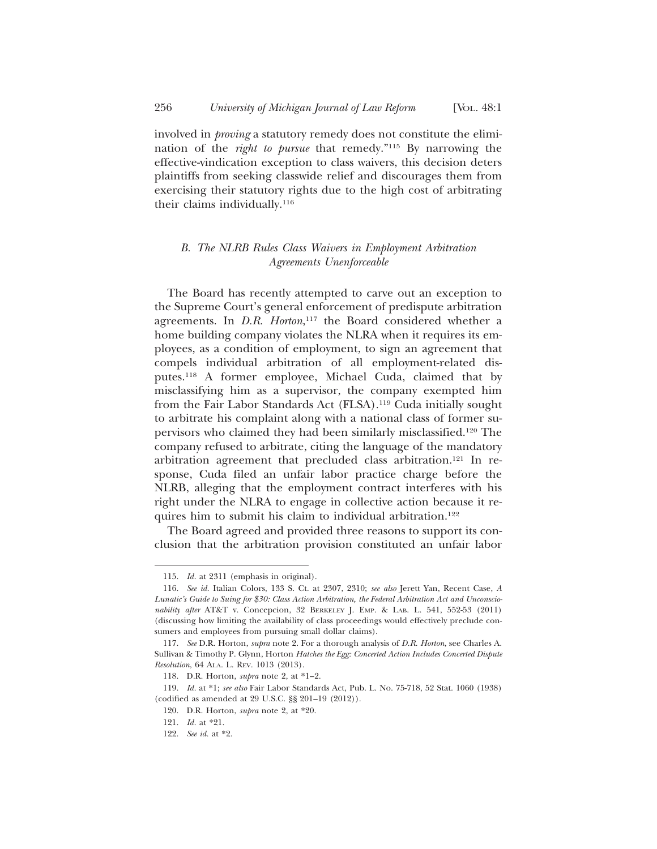involved in *proving* a statutory remedy does not constitute the elimination of the *right to pursue* that remedy."115 By narrowing the effective-vindication exception to class waivers, this decision deters plaintiffs from seeking classwide relief and discourages them from exercising their statutory rights due to the high cost of arbitrating their claims individually.116

## *B. The NLRB Rules Class Waivers in Employment Arbitration Agreements Unenforceable*

The Board has recently attempted to carve out an exception to the Supreme Court's general enforcement of predispute arbitration agreements. In *D.R. Horton*, 117 the Board considered whether a home building company violates the NLRA when it requires its employees, as a condition of employment, to sign an agreement that compels individual arbitration of all employment-related disputes.118 A former employee, Michael Cuda, claimed that by misclassifying him as a supervisor, the company exempted him from the Fair Labor Standards Act (FLSA).119 Cuda initially sought to arbitrate his complaint along with a national class of former supervisors who claimed they had been similarly misclassified.120 The company refused to arbitrate, citing the language of the mandatory arbitration agreement that precluded class arbitration.121 In response, Cuda filed an unfair labor practice charge before the NLRB, alleging that the employment contract interferes with his right under the NLRA to engage in collective action because it requires him to submit his claim to individual arbitration.122

The Board agreed and provided three reasons to support its conclusion that the arbitration provision constituted an unfair labor

<sup>115.</sup> *Id.* at 2311 (emphasis in original).

<sup>116.</sup> *See id.* Italian Colors, 133 S. Ct. at 2307, 2310; *see also* Jerett Yan, Recent Case, *A Lunatic's Guide to Suing for \$30: Class Action Arbitration, the Federal Arbitration Act and Unconscionability after* AT&T v. Concepcion, 32 BERKELEY J. EMP. & LAB. L. 541, 552-53 (2011) (discussing how limiting the availability of class proceedings would effectively preclude consumers and employees from pursuing small dollar claims).

<sup>117.</sup> *See* D.R. Horton, *supra* note 2. For a thorough analysis of *D.R. Horton*, see Charles A. Sullivan & Timothy P. Glynn, Horton *Hatches the Egg: Concerted Action Includes Concerted Dispute Resolution*, 64 ALA. L. REV. 1013 (2013).

<sup>118.</sup> D.R. Horton, *supra* note 2, at \*1–2.

<sup>119.</sup> *Id.* at \*1; *see also* Fair Labor Standards Act, Pub. L. No. 75-718, 52 Stat. 1060 (1938) (codified as amended at 29 U.S.C. §§ 201–19 (2012)).

<sup>120.</sup> D.R. Horton, *supra* note 2, at \*20.

<sup>121.</sup> *Id.* at \*21.

<sup>122.</sup> *See id.* at \*2.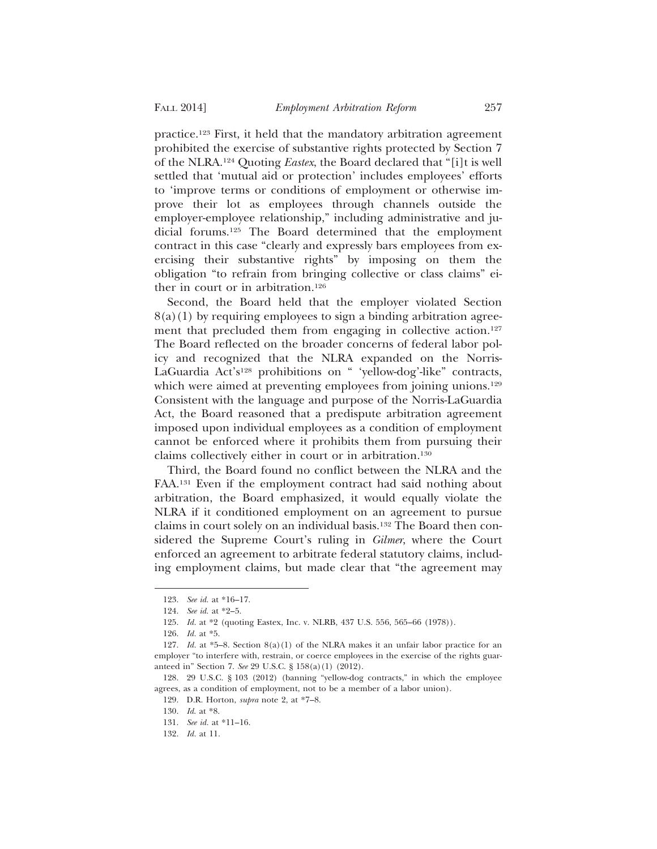practice.123 First, it held that the mandatory arbitration agreement prohibited the exercise of substantive rights protected by Section 7 of the NLRA.124 Quoting *Eastex*, the Board declared that "[i]t is well settled that 'mutual aid or protection' includes employees' efforts to 'improve terms or conditions of employment or otherwise improve their lot as employees through channels outside the employer-employee relationship," including administrative and judicial forums.125 The Board determined that the employment contract in this case "clearly and expressly bars employees from exercising their substantive rights" by imposing on them the obligation "to refrain from bringing collective or class claims" either in court or in arbitration.126

Second, the Board held that the employer violated Section  $8(a)(1)$  by requiring employees to sign a binding arbitration agreement that precluded them from engaging in collective action.<sup>127</sup> The Board reflected on the broader concerns of federal labor policy and recognized that the NLRA expanded on the Norris-LaGuardia Act's<sup>128</sup> prohibitions on " 'yellow-dog'-like" contracts, which were aimed at preventing employees from joining unions.<sup>129</sup> Consistent with the language and purpose of the Norris-LaGuardia Act, the Board reasoned that a predispute arbitration agreement imposed upon individual employees as a condition of employment cannot be enforced where it prohibits them from pursuing their claims collectively either in court or in arbitration.130

Third, the Board found no conflict between the NLRA and the FAA.131 Even if the employment contract had said nothing about arbitration, the Board emphasized, it would equally violate the NLRA if it conditioned employment on an agreement to pursue claims in court solely on an individual basis.132 The Board then considered the Supreme Court's ruling in *Gilmer*, where the Court enforced an agreement to arbitrate federal statutory claims, including employment claims, but made clear that "the agreement may

<sup>123.</sup> *See id.* at \*16–17.

<sup>124.</sup> *See id.* at \*2–5.

<sup>125.</sup> *Id.* at \*2 (quoting Eastex, Inc. v. NLRB, 437 U.S. 556, 565–66 (1978)).

<sup>126.</sup> *Id.* at \*5.

<sup>127.</sup> *Id.* at \*5–8. Section 8(a)(1) of the NLRA makes it an unfair labor practice for an employer "to interfere with, restrain, or coerce employees in the exercise of the rights guaranteed in" Section 7. *See* 29 U.S.C. § 158(a)(1) (2012).

<sup>128. 29</sup> U.S.C. § 103 (2012) (banning "yellow-dog contracts," in which the employee agrees, as a condition of employment, not to be a member of a labor union).

<sup>129.</sup> D.R. Horton, *supra* note 2, at \*7–8.

<sup>130.</sup> *Id*. at \*8.

<sup>131.</sup> *See id.* at \*11–16.

<sup>132.</sup> *Id.* at 11.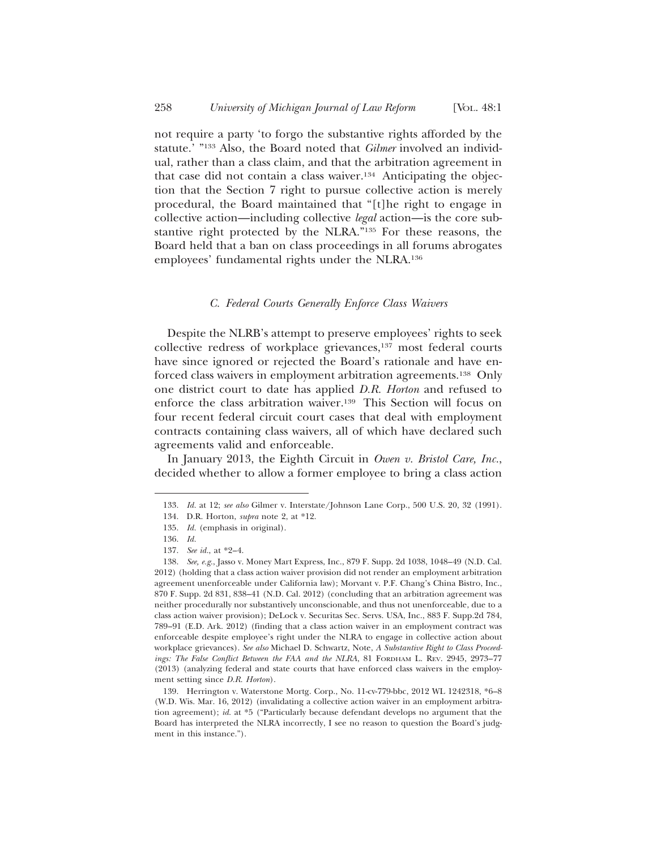not require a party 'to forgo the substantive rights afforded by the statute.' "133 Also, the Board noted that *Gilmer* involved an individual, rather than a class claim, and that the arbitration agreement in that case did not contain a class waiver.<sup>134</sup> Anticipating the objection that the Section 7 right to pursue collective action is merely procedural, the Board maintained that "[t]he right to engage in collective action—including collective *legal* action—is the core substantive right protected by the NLRA."135 For these reasons, the Board held that a ban on class proceedings in all forums abrogates employees' fundamental rights under the NLRA.136

#### *C. Federal Courts Generally Enforce Class Waivers*

Despite the NLRB's attempt to preserve employees' rights to seek collective redress of workplace grievances,137 most federal courts have since ignored or rejected the Board's rationale and have enforced class waivers in employment arbitration agreements.138 Only one district court to date has applied *D.R. Horton* and refused to enforce the class arbitration waiver.139 This Section will focus on four recent federal circuit court cases that deal with employment contracts containing class waivers, all of which have declared such agreements valid and enforceable.

In January 2013, the Eighth Circuit in *Owen v. Bristol Care, Inc.*, decided whether to allow a former employee to bring a class action

<sup>133.</sup> *Id.* at 12; *see also* Gilmer v. Interstate/Johnson Lane Corp., 500 U.S. 20, 32 (1991).

<sup>134.</sup> D.R. Horton, *supra* note 2, at \*12.

<sup>135.</sup> *Id.* (emphasis in original).

<sup>136.</sup> *Id.*

<sup>137.</sup> *See id.*, at \*2–4.

<sup>138.</sup> *See, e.g.*, Jasso v. Money Mart Express, Inc., 879 F. Supp. 2d 1038, 1048–49 (N.D. Cal. 2012) (holding that a class action waiver provision did not render an employment arbitration agreement unenforceable under California law); Morvant v. P.F. Chang's China Bistro, Inc., 870 F. Supp. 2d 831, 838–41 (N.D. Cal. 2012) (concluding that an arbitration agreement was neither procedurally nor substantively unconscionable, and thus not unenforceable, due to a class action waiver provision); DeLock v. Securitas Sec. Servs. USA, Inc., 883 F. Supp.2d 784, 789–91 (E.D. Ark. 2012) (finding that a class action waiver in an employment contract was enforceable despite employee's right under the NLRA to engage in collective action about workplace grievances). *See also* Michael D. Schwartz, Note, *A Substantive Right to Class Proceedings: The False Conflict Between the FAA and the NLRA*, 81 FORDHAM L. REV. 2945, 2973–77 (2013) (analyzing federal and state courts that have enforced class waivers in the employment setting since *D.R. Horton*).

<sup>139.</sup> Herrington v. Waterstone Mortg. Corp., No. 11-cv-779-bbc, 2012 WL 1242318, \*6–8 (W.D. Wis. Mar. 16, 2012) (invalidating a collective action waiver in an employment arbitration agreement); *id.* at \*5 ("Particularly because defendant develops no argument that the Board has interpreted the NLRA incorrectly, I see no reason to question the Board's judgment in this instance.").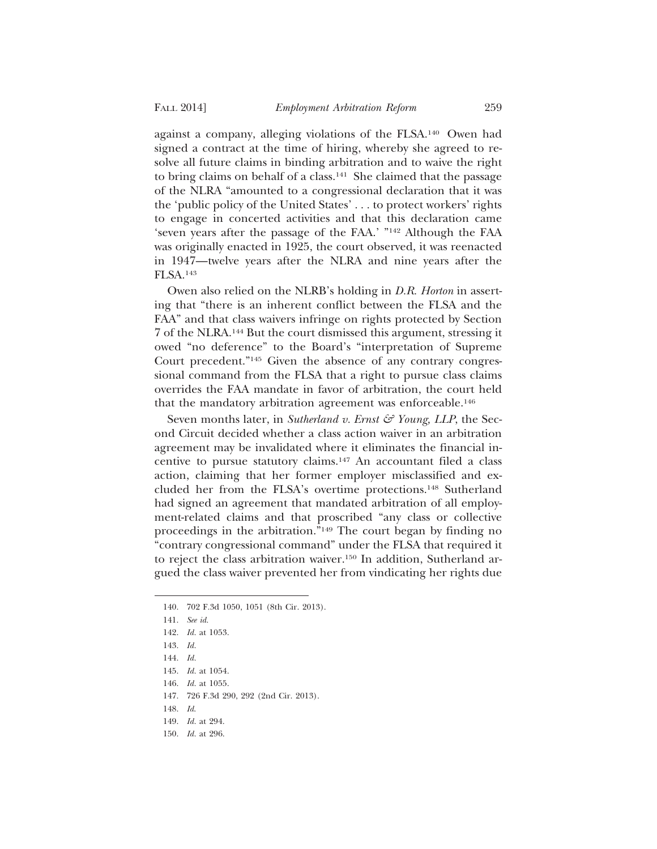against a company, alleging violations of the FLSA.140 Owen had signed a contract at the time of hiring, whereby she agreed to resolve all future claims in binding arbitration and to waive the right to bring claims on behalf of a class.<sup>141</sup> She claimed that the passage of the NLRA "amounted to a congressional declaration that it was the 'public policy of the United States' . . . to protect workers' rights to engage in concerted activities and that this declaration came 'seven years after the passage of the FAA.' "142 Although the FAA was originally enacted in 1925, the court observed, it was reenacted in 1947—twelve years after the NLRA and nine years after the FLSA.143

Owen also relied on the NLRB's holding in *D.R. Horton* in asserting that "there is an inherent conflict between the FLSA and the FAA" and that class waivers infringe on rights protected by Section 7 of the NLRA.144 But the court dismissed this argument, stressing it owed "no deference" to the Board's "interpretation of Supreme Court precedent."145 Given the absence of any contrary congressional command from the FLSA that a right to pursue class claims overrides the FAA mandate in favor of arbitration, the court held that the mandatory arbitration agreement was enforceable.146

Seven months later, in *Sutherland v. Ernst & Young, LLP*, the Second Circuit decided whether a class action waiver in an arbitration agreement may be invalidated where it eliminates the financial incentive to pursue statutory claims.147 An accountant filed a class action, claiming that her former employer misclassified and excluded her from the FLSA's overtime protections.148 Sutherland had signed an agreement that mandated arbitration of all employment-related claims and that proscribed "any class or collective proceedings in the arbitration."149 The court began by finding no "contrary congressional command" under the FLSA that required it to reject the class arbitration waiver.150 In addition, Sutherland argued the class waiver prevented her from vindicating her rights due

<sup>140. 702</sup> F.3d 1050, 1051 (8th Cir. 2013).

<sup>141.</sup> *See id.*

<sup>142.</sup> *Id.* at 1053.

<sup>143.</sup> *Id.*

<sup>144.</sup> *Id.*

<sup>145.</sup> *Id.* at 1054.

<sup>146.</sup> *Id.* at 1055.

<sup>147. 726</sup> F.3d 290, 292 (2nd Cir. 2013).

<sup>148.</sup> *Id*.

<sup>149.</sup> *Id.* at 294.

<sup>150.</sup> *Id.* at 296.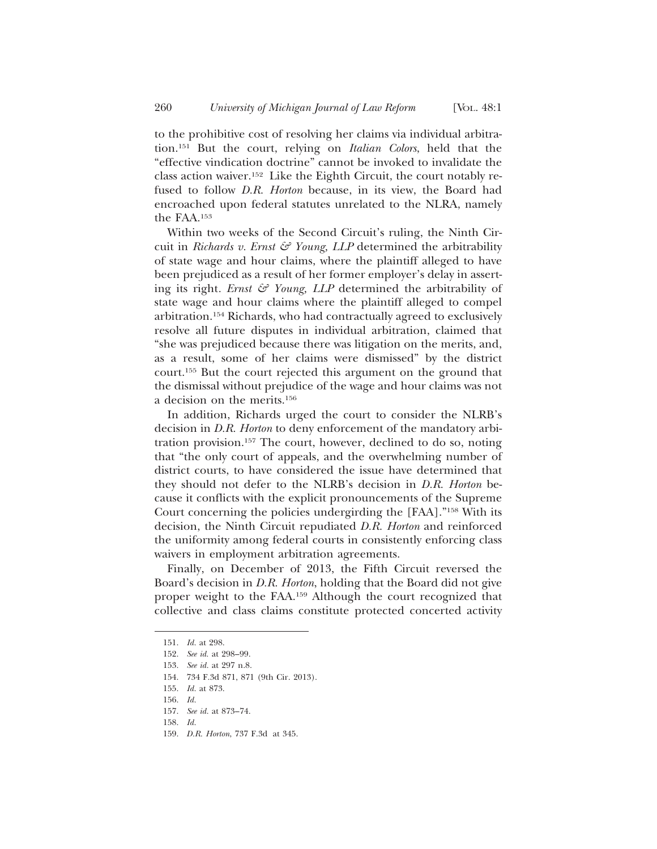to the prohibitive cost of resolving her claims via individual arbitration.151 But the court, relying on *Italian Colors*, held that the "effective vindication doctrine" cannot be invoked to invalidate the class action waiver.152 Like the Eighth Circuit, the court notably refused to follow *D.R. Horton* because, in its view, the Board had encroached upon federal statutes unrelated to the NLRA, namely the FAA.153

Within two weeks of the Second Circuit's ruling, the Ninth Circuit in *Richards v. Ernst & Young, LLP* determined the arbitrability of state wage and hour claims, where the plaintiff alleged to have been prejudiced as a result of her former employer's delay in asserting its right*. Ernst & Young, LLP* determined the arbitrability of state wage and hour claims where the plaintiff alleged to compel arbitration.154 Richards, who had contractually agreed to exclusively resolve all future disputes in individual arbitration, claimed that "she was prejudiced because there was litigation on the merits, and, as a result, some of her claims were dismissed" by the district court.155 But the court rejected this argument on the ground that the dismissal without prejudice of the wage and hour claims was not a decision on the merits.156

In addition, Richards urged the court to consider the NLRB's decision in *D.R. Horton* to deny enforcement of the mandatory arbitration provision.157 The court, however, declined to do so, noting that "the only court of appeals, and the overwhelming number of district courts, to have considered the issue have determined that they should not defer to the NLRB's decision in *D.R. Horton* because it conflicts with the explicit pronouncements of the Supreme Court concerning the policies undergirding the [FAA]."158 With its decision, the Ninth Circuit repudiated *D.R. Horton* and reinforced the uniformity among federal courts in consistently enforcing class waivers in employment arbitration agreements.

Finally, on December of 2013, the Fifth Circuit reversed the Board's decision in *D.R. Horton*, holding that the Board did not give proper weight to the FAA.159 Although the court recognized that collective and class claims constitute protected concerted activity

<sup>151.</sup> *Id.* at 298.

<sup>152.</sup> *See id.* at 298–99.

<sup>153.</sup> *See id.* at 297 n.8.

<sup>154. 734</sup> F.3d 871, 871 (9th Cir. 2013).

<sup>155.</sup> *Id.* at 873.

<sup>156.</sup> *Id.*

<sup>157.</sup> *See id.* at 873–74.

<sup>158.</sup> *Id.*

<sup>159.</sup> *D.R. Horton*, 737 F.3d at 345.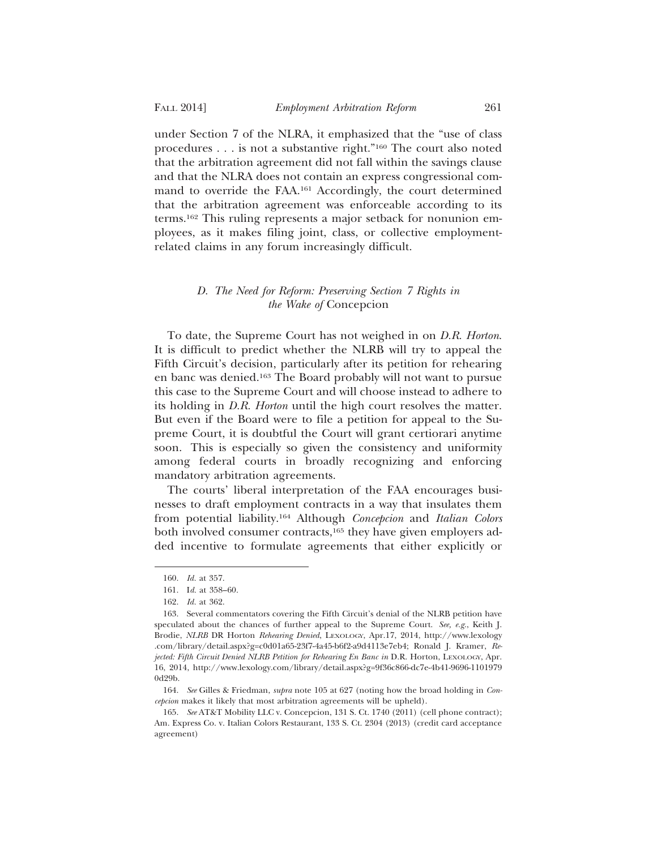under Section 7 of the NLRA, it emphasized that the "use of class procedures . . . is not a substantive right."160 The court also noted that the arbitration agreement did not fall within the savings clause and that the NLRA does not contain an express congressional command to override the FAA.161 Accordingly, the court determined that the arbitration agreement was enforceable according to its terms.162 This ruling represents a major setback for nonunion employees, as it makes filing joint, class, or collective employmentrelated claims in any forum increasingly difficult.

## *D. The Need for Reform: Preserving Section 7 Rights in the Wake of* Concepcion

To date, the Supreme Court has not weighed in on *D.R. Horton*. It is difficult to predict whether the NLRB will try to appeal the Fifth Circuit's decision, particularly after its petition for rehearing en banc was denied.163 The Board probably will not want to pursue this case to the Supreme Court and will choose instead to adhere to its holding in *D.R. Horton* until the high court resolves the matter. But even if the Board were to file a petition for appeal to the Supreme Court, it is doubtful the Court will grant certiorari anytime soon. This is especially so given the consistency and uniformity among federal courts in broadly recognizing and enforcing mandatory arbitration agreements.

The courts' liberal interpretation of the FAA encourages businesses to draft employment contracts in a way that insulates them from potential liability.164 Although *Concepcion* and *Italian Colors* both involved consumer contracts,165 they have given employers added incentive to formulate agreements that either explicitly or

164. *See* Gilles & Friedman, *supra* note 105 at 627 (noting how the broad holding in *Concepcion* makes it likely that most arbitration agreements will be upheld).

<sup>160.</sup> *Id.* at 357.

<sup>161.</sup> I*d.* at 358–60.

<sup>162.</sup> *Id.* at 362.

<sup>163.</sup> Several commentators covering the Fifth Circuit's denial of the NLRB petition have speculated about the chances of further appeal to the Supreme Court. *See, e.g.*, Keith J. Brodie, *NLRB* DR Horton *Rehearing Denied*, LEXOLOGY, Apr.17, 2014, http://www.lexology .com/library/detail.aspx?g=c0d01a65-23f7-4a45-b6f2-a9d4113e7eb4; Ronald J. Kramer, *Rejected: Fifth Circuit Denied NLRB Petition for Rehearing En Banc in D.R. Horton, LEXOLOGY, Apr.* 16, 2014, http://www.lexology.com/library/detail.aspx?g=9f36c866-dc7e-4b41-9696-1101979 0d29b.

<sup>165.</sup> *See* AT&T Mobility LLC v. Concepcion, 131 S. Ct. 1740 (2011) (cell phone contract); Am. Express Co. v. Italian Colors Restaurant, 133 S. Ct. 2304 (2013) (credit card acceptance agreement)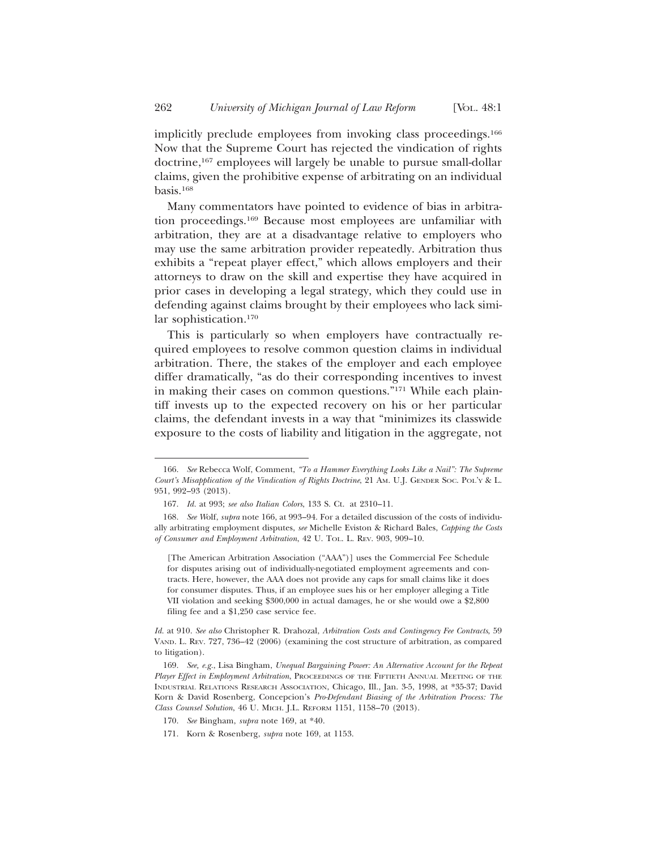implicitly preclude employees from invoking class proceedings.166 Now that the Supreme Court has rejected the vindication of rights doctrine,<sup>167</sup> employees will largely be unable to pursue small-dollar claims, given the prohibitive expense of arbitrating on an individual basis.168

Many commentators have pointed to evidence of bias in arbitration proceedings.169 Because most employees are unfamiliar with arbitration, they are at a disadvantage relative to employers who may use the same arbitration provider repeatedly. Arbitration thus exhibits a "repeat player effect," which allows employers and their attorneys to draw on the skill and expertise they have acquired in prior cases in developing a legal strategy, which they could use in defending against claims brought by their employees who lack similar sophistication.170

This is particularly so when employers have contractually required employees to resolve common question claims in individual arbitration. There, the stakes of the employer and each employee differ dramatically, "as do their corresponding incentives to invest in making their cases on common questions."171 While each plaintiff invests up to the expected recovery on his or her particular claims, the defendant invests in a way that "minimizes its classwide exposure to the costs of liability and litigation in the aggregate, not

<sup>166.</sup> *See* Rebecca Wolf, Comment, *"To a Hammer Everything Looks Like a Nail": The Supreme Court's Misapplication of the Vindication of Rights Doctrine*, 21 AM. U.J. GENDER SOC. POL'Y & L. 951, 992–93 (2013).

<sup>167.</sup> *Id.* at 993; *see also Italian Colors*, 133 S. Ct. at 2310–11.

<sup>168.</sup> *See W*olf, *supra* note 166, at 993–94. For a detailed discussion of the costs of individually arbitrating employment disputes, *see* Michelle Eviston & Richard Bales, *Capping the Costs of Consumer and Employment Arbitration*, 42 U. TOL. L. REV. 903, 909–10.

<sup>[</sup>The American Arbitration Association ("AAA")] uses the Commercial Fee Schedule for disputes arising out of individually-negotiated employment agreements and contracts. Here, however, the AAA does not provide any caps for small claims like it does for consumer disputes. Thus, if an employee sues his or her employer alleging a Title VII violation and seeking \$300,000 in actual damages, he or she would owe a \$2,800 filing fee and a \$1,250 case service fee.

*Id.* at 910. *See also* Christopher R. Drahozal, *Arbitration Costs and Contingency Fee Contracts*, 59 VAND. L. REV. 727, 736–42 (2006) (examining the cost structure of arbitration, as compared to litigation).

<sup>169.</sup> *See, e.g.*, Lisa Bingham, *Unequal Bargaining Power: An Alternative Account for the Repeat Player Effect in Employment Arbitration*, PROCEEDINGS OF THE FIFTIETH ANNUAL MEETING OF THE INDUSTRIAL RELATIONS RESEARCH ASSOCIATION, Chicago, Ill., Jan. 3-5, 1998, at \*35-37; David Korn & David Rosenberg, Concepcion's *Pro-Defendant Biasing of the Arbitration Process: The Class Counsel Solution*, 46 U. MICH. J.L. REFORM 1151, 1158–70 (2013).

<sup>170.</sup> *See* Bingham, *supra* note 169, at \*40.

<sup>171.</sup> Korn & Rosenberg, *supra* note 169, at 1153.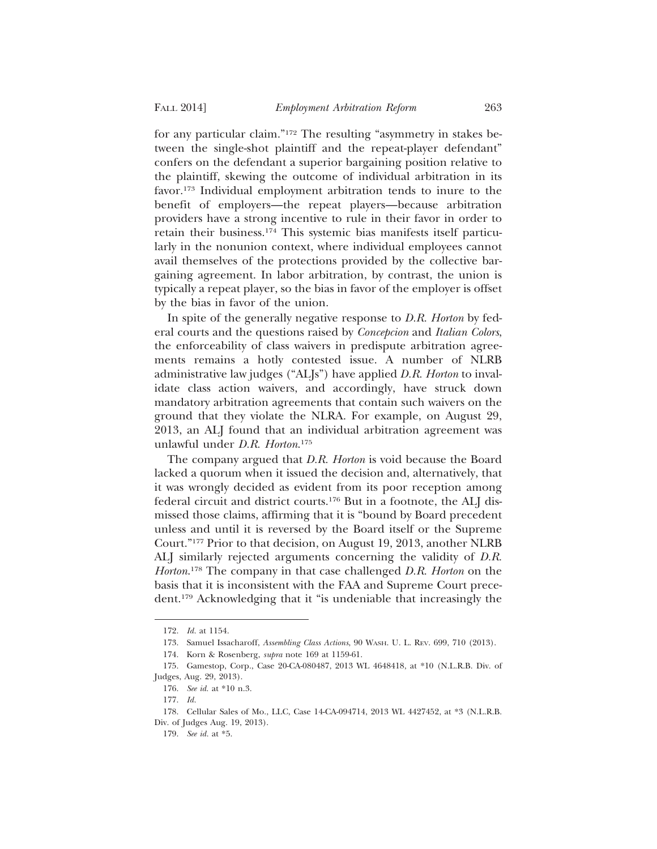for any particular claim."172 The resulting "asymmetry in stakes between the single-shot plaintiff and the repeat-player defendant" confers on the defendant a superior bargaining position relative to the plaintiff, skewing the outcome of individual arbitration in its favor.173 Individual employment arbitration tends to inure to the benefit of employers—the repeat players—because arbitration providers have a strong incentive to rule in their favor in order to retain their business.174 This systemic bias manifests itself particularly in the nonunion context, where individual employees cannot avail themselves of the protections provided by the collective bargaining agreement. In labor arbitration, by contrast, the union is typically a repeat player, so the bias in favor of the employer is offset by the bias in favor of the union.

In spite of the generally negative response to *D.R. Horton* by federal courts and the questions raised by *Concepcion* and *Italian Colors*, the enforceability of class waivers in predispute arbitration agreements remains a hotly contested issue. A number of NLRB administrative law judges ("ALJs") have applied *D.R. Horton* to invalidate class action waivers, and accordingly, have struck down mandatory arbitration agreements that contain such waivers on the ground that they violate the NLRA. For example, on August 29, 2013, an ALJ found that an individual arbitration agreement was unlawful under *D.R. Horton*. 175

The company argued that *D.R. Horton* is void because the Board lacked a quorum when it issued the decision and, alternatively, that it was wrongly decided as evident from its poor reception among federal circuit and district courts.176 But in a footnote, the ALJ dismissed those claims, affirming that it is "bound by Board precedent unless and until it is reversed by the Board itself or the Supreme Court."177 Prior to that decision, on August 19, 2013, another NLRB ALJ similarly rejected arguments concerning the validity of *D.R. Horton*. 178 The company in that case challenged *D.R. Horton* on the basis that it is inconsistent with the FAA and Supreme Court precedent.179 Acknowledging that it "is undeniable that increasingly the

<sup>172.</sup> *Id.* at 1154.

<sup>173.</sup> Samuel Issacharoff, *Assembling Class Actions*, 90 WASH. U. L. REV. 699, 710 (2013).

<sup>174.</sup> Korn & Rosenberg, *supra* note 169 at 1159-61.

<sup>175.</sup> Gamestop, Corp., Case 20-CA-080487, 2013 WL 4648418, at \*10 (N.L.R.B. Div. of Judges, Aug. 29, 2013).

<sup>176.</sup> *See id.* at \*10 n.3.

<sup>177.</sup> *Id.*

<sup>178.</sup> Cellular Sales of Mo., LLC, Case 14-CA-094714, 2013 WL 4427452, at \*3 (N.L.R.B. Div. of Judges Aug. 19, 2013).

<sup>179.</sup> *See id.* at \*5.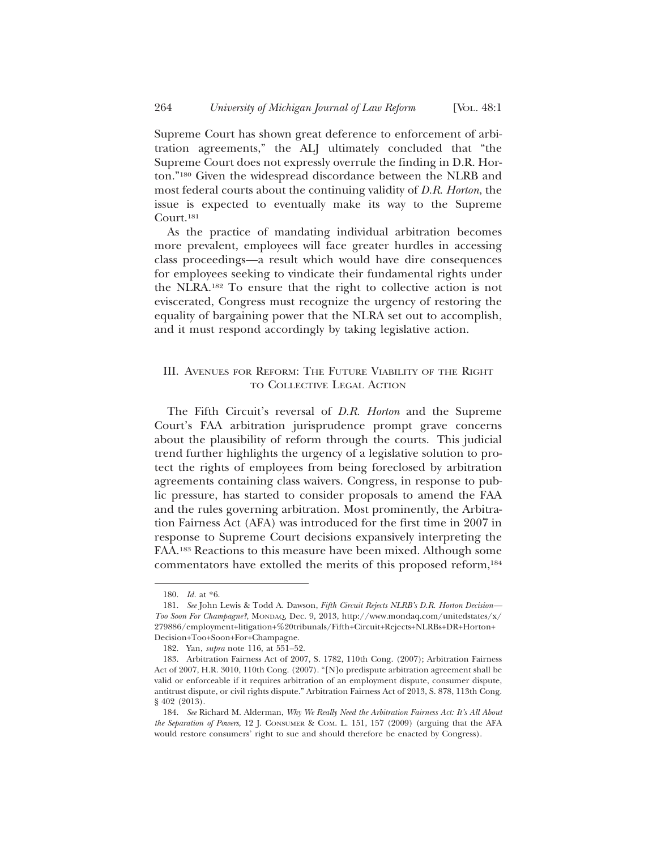Supreme Court has shown great deference to enforcement of arbitration agreements," the ALJ ultimately concluded that "the Supreme Court does not expressly overrule the finding in D.R. Horton."180 Given the widespread discordance between the NLRB and most federal courts about the continuing validity of *D.R. Horton*, the issue is expected to eventually make its way to the Supreme Court.181

As the practice of mandating individual arbitration becomes more prevalent, employees will face greater hurdles in accessing class proceedings—a result which would have dire consequences for employees seeking to vindicate their fundamental rights under the NLRA.182 To ensure that the right to collective action is not eviscerated, Congress must recognize the urgency of restoring the equality of bargaining power that the NLRA set out to accomplish, and it must respond accordingly by taking legislative action.

## III. AVENUES FOR REFORM: THE FUTURE VIABILITY OF THE RIGHT TO COLLECTIVE LEGAL ACTION

The Fifth Circuit's reversal of *D.R. Horton* and the Supreme Court's FAA arbitration jurisprudence prompt grave concerns about the plausibility of reform through the courts. This judicial trend further highlights the urgency of a legislative solution to protect the rights of employees from being foreclosed by arbitration agreements containing class waivers. Congress, in response to public pressure, has started to consider proposals to amend the FAA and the rules governing arbitration. Most prominently, the Arbitration Fairness Act (AFA) was introduced for the first time in 2007 in response to Supreme Court decisions expansively interpreting the FAA.183 Reactions to this measure have been mixed. Although some commentators have extolled the merits of this proposed reform,<sup>184</sup>

<sup>180.</sup> *Id.* at \*6.

<sup>181.</sup> *See* John Lewis & Todd A. Dawson, *Fifth Circuit Rejects NLRB's D.R. Horton Decision— Too Soon For Champagne?*, MONDAQ, Dec. 9, 2013, http://www.mondaq.com/unitedstates/x/ 279886/employment+litigation+%20tribunals/Fifth+Circuit+Rejects+NLRBs+DR+Horton+ Decision+Too+Soon+For+Champagne.

<sup>182.</sup> Yan, *supra* note 116, at 551–52.

<sup>183.</sup> Arbitration Fairness Act of 2007, S. 1782, 110th Cong. (2007); Arbitration Fairness Act of 2007, H.R. 3010, 110th Cong. (2007). "[N]o predispute arbitration agreement shall be valid or enforceable if it requires arbitration of an employment dispute, consumer dispute, antitrust dispute, or civil rights dispute." Arbitration Fairness Act of 2013, S. 878, 113th Cong. § 402 (2013).

<sup>184.</sup> *See* Richard M. Alderman, *Why We Really Need the Arbitration Fairness Act: It's All About the Separation of Powers*, 12 J. CONSUMER & COM. L. 151, 157 (2009) (arguing that the AFA would restore consumers' right to sue and should therefore be enacted by Congress).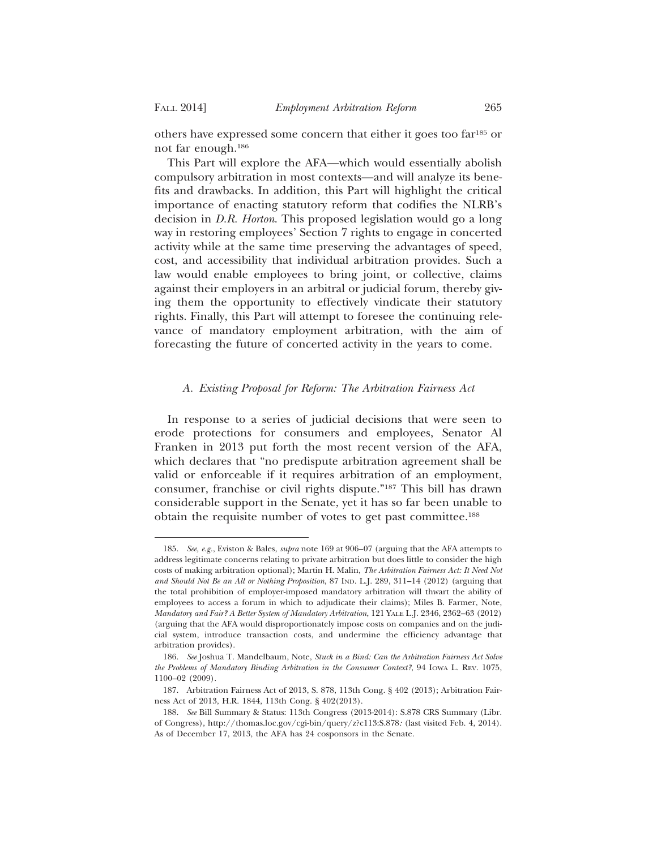others have expressed some concern that either it goes too far185 or not far enough.186

This Part will explore the AFA—which would essentially abolish compulsory arbitration in most contexts—and will analyze its benefits and drawbacks. In addition, this Part will highlight the critical importance of enacting statutory reform that codifies the NLRB's decision in *D.R. Horton*. This proposed legislation would go a long way in restoring employees' Section 7 rights to engage in concerted activity while at the same time preserving the advantages of speed, cost, and accessibility that individual arbitration provides. Such a law would enable employees to bring joint, or collective, claims against their employers in an arbitral or judicial forum, thereby giving them the opportunity to effectively vindicate their statutory rights. Finally, this Part will attempt to foresee the continuing relevance of mandatory employment arbitration, with the aim of forecasting the future of concerted activity in the years to come.

## *A. Existing Proposal for Reform: The Arbitration Fairness Act*

In response to a series of judicial decisions that were seen to erode protections for consumers and employees, Senator Al Franken in 2013 put forth the most recent version of the AFA, which declares that "no predispute arbitration agreement shall be valid or enforceable if it requires arbitration of an employment, consumer, franchise or civil rights dispute."187 This bill has drawn considerable support in the Senate, yet it has so far been unable to obtain the requisite number of votes to get past committee.188

<sup>185.</sup> *See, e.g.*, Eviston & Bales, *supra* note 169 at 906–07 (arguing that the AFA attempts to address legitimate concerns relating to private arbitration but does little to consider the high costs of making arbitration optional); Martin H. Malin, *The Arbitration Fairness Act: It Need Not and Should Not Be an All or Nothing Proposition*, 87 IND. L.J. 289, 311–14 (2012) (arguing that the total prohibition of employer-imposed mandatory arbitration will thwart the ability of employees to access a forum in which to adjudicate their claims); Miles B. Farmer, Note, *Mandatory and Fair? A Better System of Mandatory Arbitration*, 121 YALE L.J. 2346, 2362–63 (2012) (arguing that the AFA would disproportionately impose costs on companies and on the judicial system, introduce transaction costs, and undermine the efficiency advantage that arbitration provides).

<sup>186.</sup> *See* Joshua T. Mandelbaum, Note, *Stuck in a Bind: Can the Arbitration Fairness Act Solve the Problems of Mandatory Binding Arbitration in the Consumer Context?*, 94 IOWA L. REV. 1075, 1100–02 (2009).

<sup>187.</sup> Arbitration Fairness Act of 2013, S. 878, 113th Cong. § 402 (2013); Arbitration Fairness Act of 2013, H.R. 1844, 113th Cong. § 402(2013).

<sup>188.</sup> *See* Bill Summary & Status: 113th Congress (2013-2014): S.878 CRS Summary (Libr. of Congress), http://thomas.loc.gov/cgi-bin/query/z?c113:S.878*:* (last visited Feb. 4, 2014). As of December 17, 2013, the AFA has 24 cosponsors in the Senate.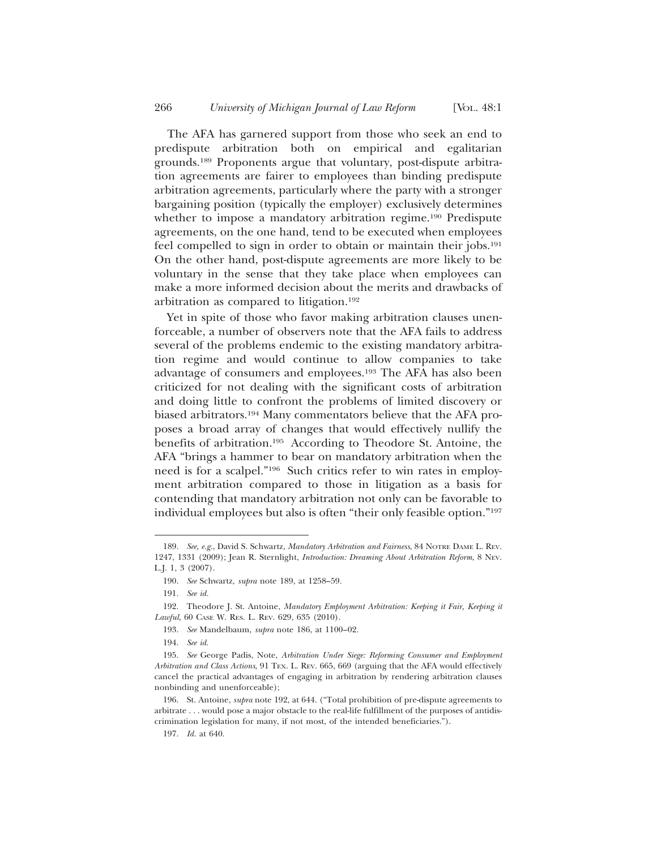The AFA has garnered support from those who seek an end to predispute arbitration both on empirical and egalitarian grounds.189 Proponents argue that voluntary, post-dispute arbitration agreements are fairer to employees than binding predispute arbitration agreements, particularly where the party with a stronger bargaining position (typically the employer) exclusively determines whether to impose a mandatory arbitration regime.<sup>190</sup> Predispute agreements, on the one hand, tend to be executed when employees feel compelled to sign in order to obtain or maintain their jobs.191 On the other hand, post-dispute agreements are more likely to be voluntary in the sense that they take place when employees can make a more informed decision about the merits and drawbacks of arbitration as compared to litigation.192

Yet in spite of those who favor making arbitration clauses unenforceable, a number of observers note that the AFA fails to address several of the problems endemic to the existing mandatory arbitration regime and would continue to allow companies to take advantage of consumers and employees.193 The AFA has also been criticized for not dealing with the significant costs of arbitration and doing little to confront the problems of limited discovery or biased arbitrators.194 Many commentators believe that the AFA proposes a broad array of changes that would effectively nullify the benefits of arbitration.195 According to Theodore St. Antoine, the AFA "brings a hammer to bear on mandatory arbitration when the need is for a scalpel."196 Such critics refer to win rates in employment arbitration compared to those in litigation as a basis for contending that mandatory arbitration not only can be favorable to individual employees but also is often "their only feasible option."197

<sup>189.</sup> *See, e.g.*, David S. Schwartz, *Mandatory Arbitration and Fairness*, 84 NOTRE DAME L. REV. 1247, 1331 (2009); Jean R. Sternlight, *Introduction: Dreaming About Arbitration Reform*, 8 NEV. L.J. 1, 3 (2007).

<sup>190.</sup> *See* Schwartz, *supra* note 189, at 1258–59.

<sup>191.</sup> *See id.*

<sup>192.</sup> Theodore J. St. Antoine, *Mandatory Employment Arbitration: Keeping it Fair, Keeping it Lawful*, 60 CASE W. RES. L. REV. 629, 635 (2010).

<sup>193.</sup> *See* Mandelbaum, *supra* note 186, at 1100–02.

<sup>194.</sup> *See id.*

<sup>195.</sup> *See* George Padis, Note, *Arbitration Under Siege: Reforming Consumer and Employment Arbitration and Class Actions*, 91 TEX. L. REV. 665, 669 (arguing that the AFA would effectively cancel the practical advantages of engaging in arbitration by rendering arbitration clauses nonbinding and unenforceable);

<sup>196.</sup> St. Antoine, *supra* note 192, at 644. ("Total prohibition of pre-dispute agreements to arbitrate . . . would pose a major obstacle to the real-life fulfillment of the purposes of antidiscrimination legislation for many, if not most, of the intended beneficiaries.").

<sup>197.</sup> *Id.* at 640.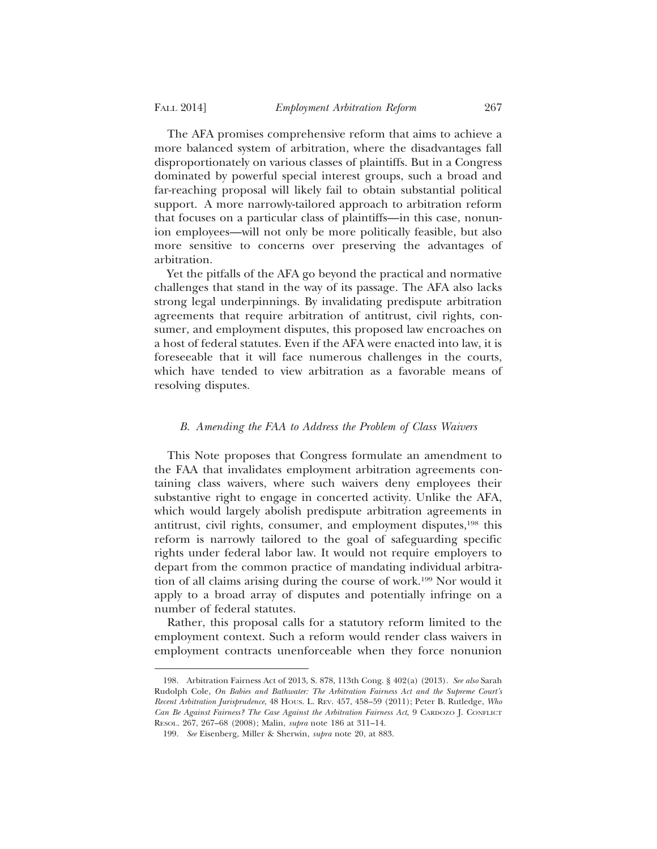The AFA promises comprehensive reform that aims to achieve a more balanced system of arbitration, where the disadvantages fall disproportionately on various classes of plaintiffs. But in a Congress dominated by powerful special interest groups, such a broad and far-reaching proposal will likely fail to obtain substantial political support. A more narrowly-tailored approach to arbitration reform that focuses on a particular class of plaintiffs—in this case, nonunion employees—will not only be more politically feasible, but also more sensitive to concerns over preserving the advantages of arbitration.

Yet the pitfalls of the AFA go beyond the practical and normative challenges that stand in the way of its passage. The AFA also lacks strong legal underpinnings. By invalidating predispute arbitration agreements that require arbitration of antitrust, civil rights, consumer, and employment disputes, this proposed law encroaches on a host of federal statutes. Even if the AFA were enacted into law, it is foreseeable that it will face numerous challenges in the courts, which have tended to view arbitration as a favorable means of resolving disputes.

### *B. Amending the FAA to Address the Problem of Class Waivers*

This Note proposes that Congress formulate an amendment to the FAA that invalidates employment arbitration agreements containing class waivers, where such waivers deny employees their substantive right to engage in concerted activity. Unlike the AFA, which would largely abolish predispute arbitration agreements in antitrust, civil rights, consumer, and employment disputes,<sup>198</sup> this reform is narrowly tailored to the goal of safeguarding specific rights under federal labor law. It would not require employers to depart from the common practice of mandating individual arbitration of all claims arising during the course of work.199 Nor would it apply to a broad array of disputes and potentially infringe on a number of federal statutes.

Rather, this proposal calls for a statutory reform limited to the employment context. Such a reform would render class waivers in employment contracts unenforceable when they force nonunion

<sup>198.</sup> Arbitration Fairness Act of 2013, S. 878, 113th Cong. § 402(a) (2013). *See also* Sarah Rudolph Cole, *On Babies and Bathwater: The Arbitration Fairness Act and the Supreme Court's Recent Arbitration Jurisprudence*, 48 HOUS. L. REV. 457, 458–59 (2011); Peter B. Rutledge, *Who Can Be Against Fairness? The Case Against the Arbitration Fairness Act*, 9 CARDOZO J. CONFLICT RESOL. 267, 267–68 (2008); Malin, *supra* note 186 at 311–14.

<sup>199.</sup> *See* Eisenberg, Miller & Sherwin, *supra* note 20, at 883.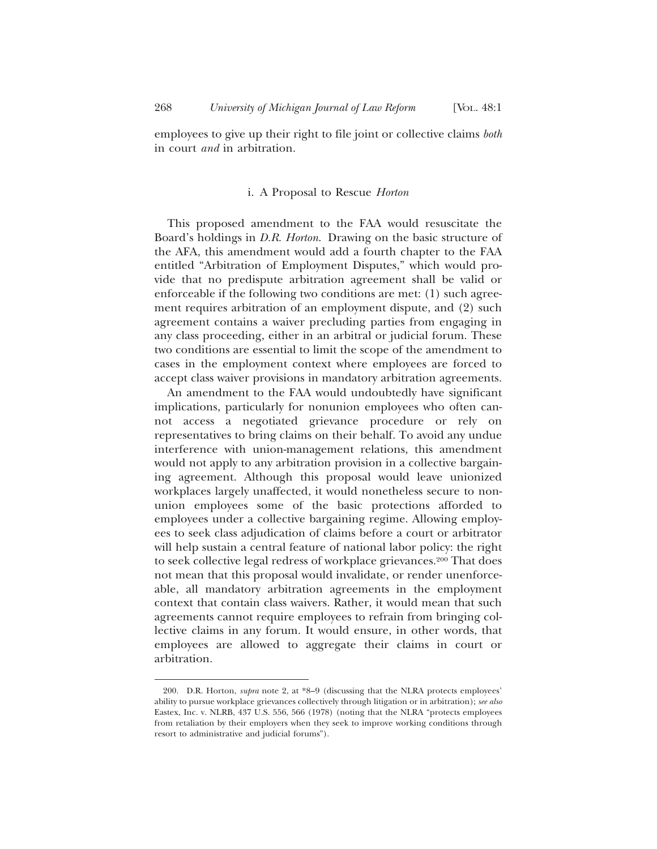employees to give up their right to file joint or collective claims *both* in court *and* in arbitration.

#### i. A Proposal to Rescue *Horton*

This proposed amendment to the FAA would resuscitate the Board's holdings in *D.R. Horton*. Drawing on the basic structure of the AFA, this amendment would add a fourth chapter to the FAA entitled "Arbitration of Employment Disputes," which would provide that no predispute arbitration agreement shall be valid or enforceable if the following two conditions are met: (1) such agreement requires arbitration of an employment dispute, and (2) such agreement contains a waiver precluding parties from engaging in any class proceeding, either in an arbitral or judicial forum. These two conditions are essential to limit the scope of the amendment to cases in the employment context where employees are forced to accept class waiver provisions in mandatory arbitration agreements.

An amendment to the FAA would undoubtedly have significant implications, particularly for nonunion employees who often cannot access a negotiated grievance procedure or rely on representatives to bring claims on their behalf. To avoid any undue interference with union-management relations, this amendment would not apply to any arbitration provision in a collective bargaining agreement. Although this proposal would leave unionized workplaces largely unaffected, it would nonetheless secure to nonunion employees some of the basic protections afforded to employees under a collective bargaining regime. Allowing employees to seek class adjudication of claims before a court or arbitrator will help sustain a central feature of national labor policy: the right to seek collective legal redress of workplace grievances.<sup>200</sup> That does not mean that this proposal would invalidate, or render unenforceable, all mandatory arbitration agreements in the employment context that contain class waivers. Rather, it would mean that such agreements cannot require employees to refrain from bringing collective claims in any forum. It would ensure, in other words, that employees are allowed to aggregate their claims in court or arbitration.

<sup>200.</sup> D.R. Horton, *supra* note 2, at \*8–9 (discussing that the NLRA protects employees' ability to pursue workplace grievances collectively through litigation or in arbitration); *see also* Eastex, Inc. v. NLRB, 437 U.S. 556, 566 (1978) (noting that the NLRA "protects employees from retaliation by their employers when they seek to improve working conditions through resort to administrative and judicial forums").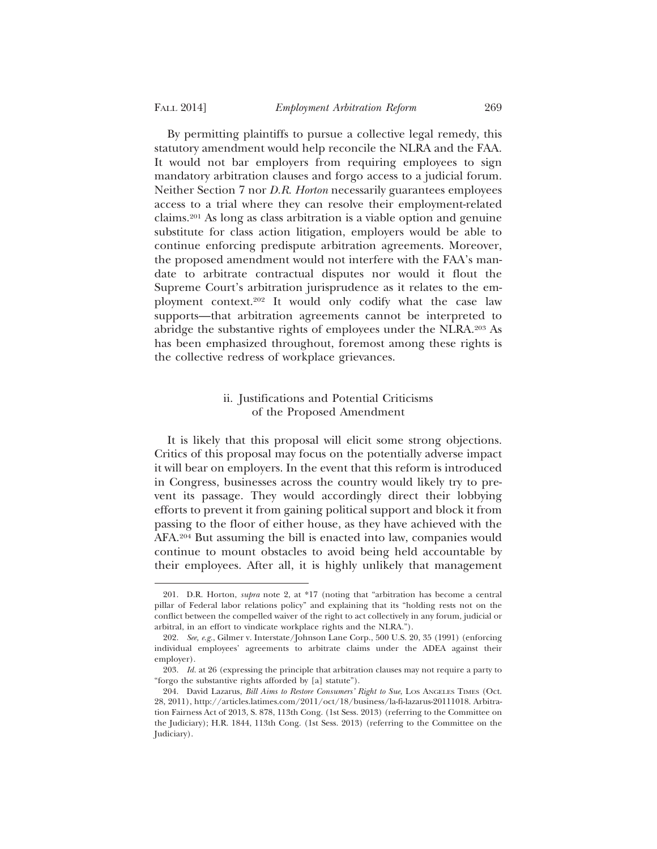By permitting plaintiffs to pursue a collective legal remedy, this statutory amendment would help reconcile the NLRA and the FAA. It would not bar employers from requiring employees to sign mandatory arbitration clauses and forgo access to a judicial forum. Neither Section 7 nor *D.R. Horton* necessarily guarantees employees access to a trial where they can resolve their employment-related claims.201 As long as class arbitration is a viable option and genuine substitute for class action litigation, employers would be able to continue enforcing predispute arbitration agreements. Moreover, the proposed amendment would not interfere with the FAA's mandate to arbitrate contractual disputes nor would it flout the Supreme Court's arbitration jurisprudence as it relates to the employment context.202 It would only codify what the case law supports—that arbitration agreements cannot be interpreted to abridge the substantive rights of employees under the NLRA.203 As has been emphasized throughout, foremost among these rights is the collective redress of workplace grievances.

## ii. Justifications and Potential Criticisms of the Proposed Amendment

It is likely that this proposal will elicit some strong objections. Critics of this proposal may focus on the potentially adverse impact it will bear on employers. In the event that this reform is introduced in Congress, businesses across the country would likely try to prevent its passage. They would accordingly direct their lobbying efforts to prevent it from gaining political support and block it from passing to the floor of either house, as they have achieved with the AFA.204 But assuming the bill is enacted into law, companies would continue to mount obstacles to avoid being held accountable by their employees. After all, it is highly unlikely that management

<sup>201.</sup> D.R. Horton, *supra* note 2, at \*17 (noting that "arbitration has become a central pillar of Federal labor relations policy" and explaining that its "holding rests not on the conflict between the compelled waiver of the right to act collectively in any forum, judicial or arbitral, in an effort to vindicate workplace rights and the NLRA.").

<sup>202.</sup> *See, e.g.*, Gilmer v. Interstate/Johnson Lane Corp., 500 U.S. 20, 35 (1991) (enforcing individual employees' agreements to arbitrate claims under the ADEA against their employer).

<sup>203.</sup> *Id.* at 26 (expressing the principle that arbitration clauses may not require a party to "forgo the substantive rights afforded by [a] statute").

<sup>204.</sup> David Lazarus, *Bill Aims to Restore Consumers' Right to Sue*, LOS ANGELES TIMES (Oct. 28, 2011), http://articles.latimes.com/2011/oct/18/business/la-fi-lazarus-20111018. Arbitration Fairness Act of 2013, S. 878, 113th Cong. (1st Sess. 2013) (referring to the Committee on the Judiciary); H.R. 1844, 113th Cong. (1st Sess. 2013) (referring to the Committee on the Judiciary).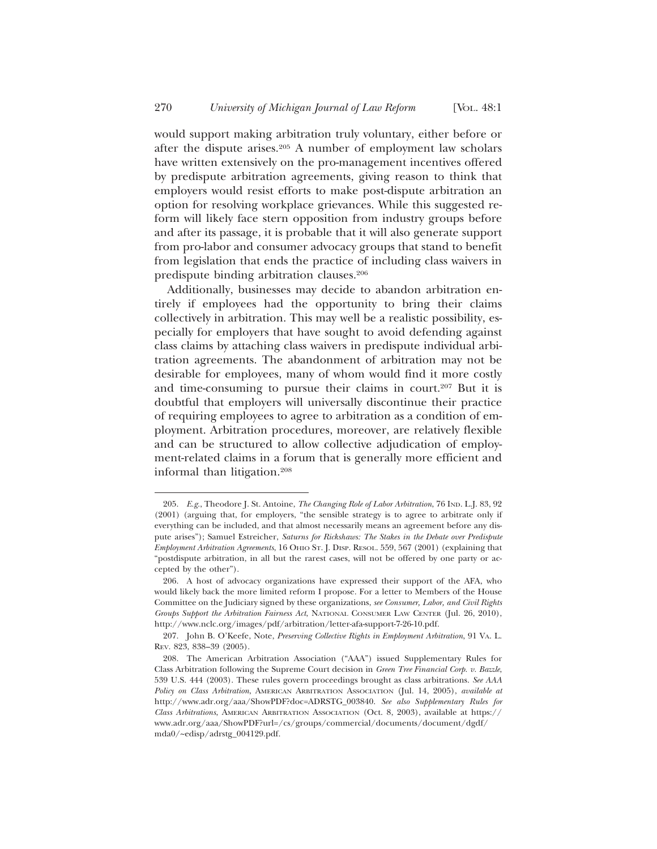would support making arbitration truly voluntary, either before or after the dispute arises.205 A number of employment law scholars have written extensively on the pro-management incentives offered by predispute arbitration agreements, giving reason to think that employers would resist efforts to make post-dispute arbitration an option for resolving workplace grievances. While this suggested reform will likely face stern opposition from industry groups before and after its passage, it is probable that it will also generate support from pro-labor and consumer advocacy groups that stand to benefit from legislation that ends the practice of including class waivers in predispute binding arbitration clauses.206

Additionally, businesses may decide to abandon arbitration entirely if employees had the opportunity to bring their claims collectively in arbitration. This may well be a realistic possibility, especially for employers that have sought to avoid defending against class claims by attaching class waivers in predispute individual arbitration agreements. The abandonment of arbitration may not be desirable for employees, many of whom would find it more costly and time-consuming to pursue their claims in court.207 But it is doubtful that employers will universally discontinue their practice of requiring employees to agree to arbitration as a condition of employment. Arbitration procedures, moreover, are relatively flexible and can be structured to allow collective adjudication of employment-related claims in a forum that is generally more efficient and informal than litigation.208

<sup>205.</sup> *E.g.*, Theodore J. St. Antoine, *The Changing Role of Labor Arbitration*, 76 IND. L.J. 83, 92 (2001) (arguing that, for employers, "the sensible strategy is to agree to arbitrate only if everything can be included, and that almost necessarily means an agreement before any dispute arises"); Samuel Estreicher, *Saturns for Rickshaws: The Stakes in the Debate over Predispute Employment Arbitration Agreements*, 16 OHIO ST. J. DISP. RESOL. 559, 567 (2001) (explaining that "postdispute arbitration, in all but the rarest cases, will not be offered by one party or accepted by the other").

<sup>206.</sup> A host of advocacy organizations have expressed their support of the AFA, who would likely back the more limited reform I propose. For a letter to Members of the House Committee on the Judiciary signed by these organizations, *see Consumer, Labor, and Civil Rights Groups Support the Arbitration Fairness Act*, NATIONAL CONSUMER LAW CENTER (Jul. 26, 2010), http://www.nclc.org/images/pdf/arbitration/letter-afa-support-7-26-10.pdf.

<sup>207.</sup> John B. O'Keefe, Note, *Preserving Collective Rights in Employment Arbitration*, 91 VA. L. REV. 823, 838–39 (2005).

<sup>208.</sup> The American Arbitration Association ("AAA") issued Supplementary Rules for Class Arbitration following the Supreme Court decision in *Green Tree Financial Corp. v. Bazzle*, 539 U.S. 444 (2003). These rules govern proceedings brought as class arbitrations. *See AAA Policy on Class Arbitration*, AMERICAN ARBITRATION ASSOCIATION (Jul. 14, 2005), *available at* http://www.adr.org/aaa/ShowPDF?doc=ADRSTG\_003840. *See also Supplementary Rules for Class Arbitrations*, AMERICAN ARBITRATION ASSOCIATION (Oct. 8, 2003), available at https:// www.adr.org/aaa/ShowPDF?url=/cs/groups/commercial/documents/document/dgdf/ mda0/~edisp/adrstg\_004129.pdf.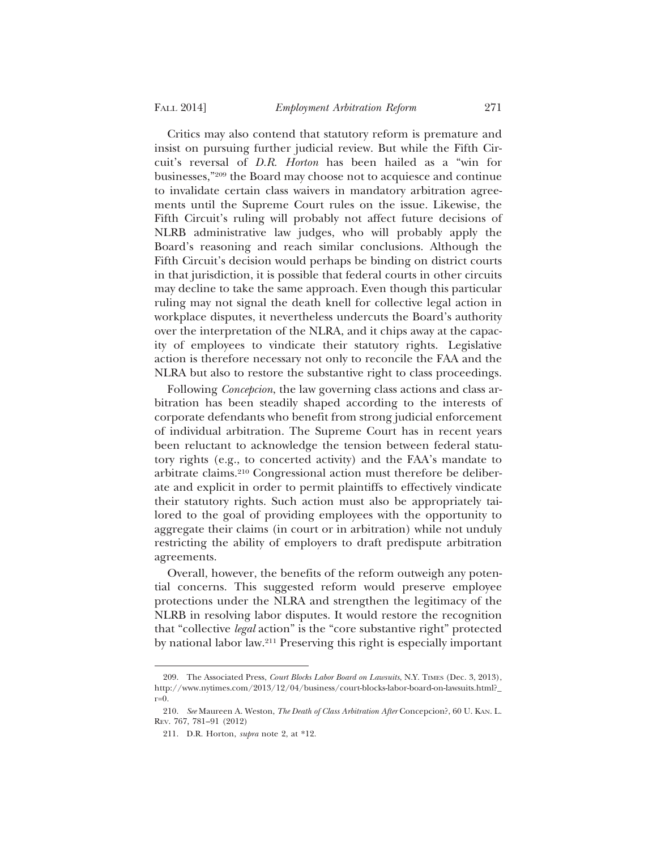Critics may also contend that statutory reform is premature and insist on pursuing further judicial review. But while the Fifth Circuit's reversal of *D.R. Horton* has been hailed as a "win for businesses,"209 the Board may choose not to acquiesce and continue to invalidate certain class waivers in mandatory arbitration agreements until the Supreme Court rules on the issue. Likewise, the Fifth Circuit's ruling will probably not affect future decisions of NLRB administrative law judges, who will probably apply the Board's reasoning and reach similar conclusions. Although the Fifth Circuit's decision would perhaps be binding on district courts in that jurisdiction, it is possible that federal courts in other circuits may decline to take the same approach. Even though this particular ruling may not signal the death knell for collective legal action in workplace disputes, it nevertheless undercuts the Board's authority over the interpretation of the NLRA, and it chips away at the capacity of employees to vindicate their statutory rights. Legislative action is therefore necessary not only to reconcile the FAA and the NLRA but also to restore the substantive right to class proceedings.

Following *Concepcion*, the law governing class actions and class arbitration has been steadily shaped according to the interests of corporate defendants who benefit from strong judicial enforcement of individual arbitration. The Supreme Court has in recent years been reluctant to acknowledge the tension between federal statutory rights (e.g., to concerted activity) and the FAA's mandate to arbitrate claims.210 Congressional action must therefore be deliberate and explicit in order to permit plaintiffs to effectively vindicate their statutory rights. Such action must also be appropriately tailored to the goal of providing employees with the opportunity to aggregate their claims (in court or in arbitration) while not unduly restricting the ability of employers to draft predispute arbitration agreements.

Overall, however, the benefits of the reform outweigh any potential concerns. This suggested reform would preserve employee protections under the NLRA and strengthen the legitimacy of the NLRB in resolving labor disputes. It would restore the recognition that "collective *legal* action" is the "core substantive right" protected by national labor law.211 Preserving this right is especially important

<sup>209.</sup> The Associated Press, *Court Blocks Labor Board on Lawsuits*, N.Y. TIMES (Dec. 3, 2013), http://www.nytimes.com/2013/12/04/business/court-blocks-labor-board-on-lawsuits.html?\_  $r=0$ .

<sup>210.</sup> *See* Maureen A. Weston, *The Death of Class Arbitration After* Concepcion?, 60 U. KAN. L. REV. 767, 781–91 (2012)

<sup>211.</sup> D.R. Horton, *supra* note 2, at \*12.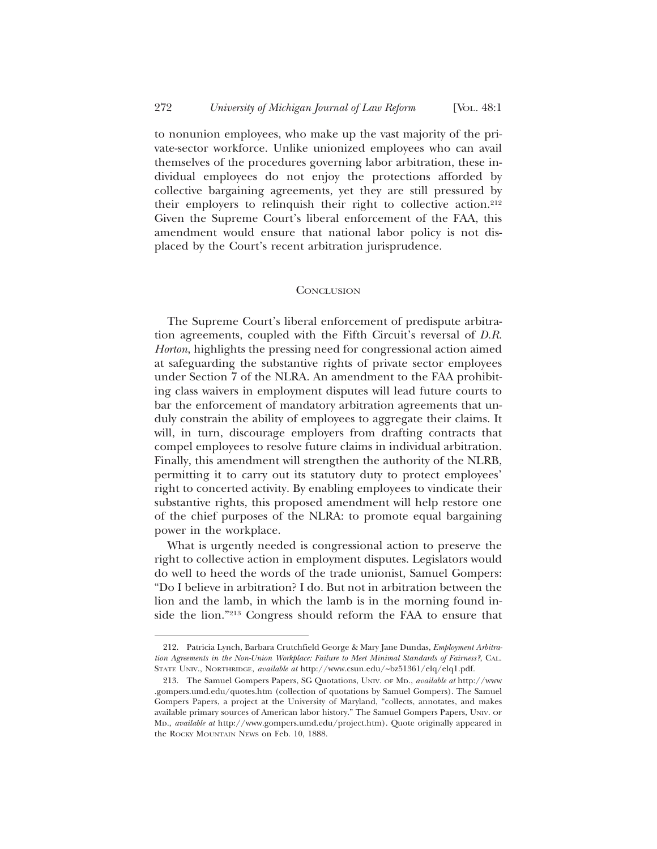to nonunion employees, who make up the vast majority of the private-sector workforce. Unlike unionized employees who can avail themselves of the procedures governing labor arbitration, these individual employees do not enjoy the protections afforded by collective bargaining agreements, yet they are still pressured by their employers to relinquish their right to collective action.212 Given the Supreme Court's liberal enforcement of the FAA, this amendment would ensure that national labor policy is not displaced by the Court's recent arbitration jurisprudence.

#### **CONCLUSION**

The Supreme Court's liberal enforcement of predispute arbitration agreements, coupled with the Fifth Circuit's reversal of *D.R. Horton*, highlights the pressing need for congressional action aimed at safeguarding the substantive rights of private sector employees under Section 7 of the NLRA. An amendment to the FAA prohibiting class waivers in employment disputes will lead future courts to bar the enforcement of mandatory arbitration agreements that unduly constrain the ability of employees to aggregate their claims. It will, in turn, discourage employers from drafting contracts that compel employees to resolve future claims in individual arbitration. Finally, this amendment will strengthen the authority of the NLRB, permitting it to carry out its statutory duty to protect employees' right to concerted activity. By enabling employees to vindicate their substantive rights, this proposed amendment will help restore one of the chief purposes of the NLRA: to promote equal bargaining power in the workplace.

What is urgently needed is congressional action to preserve the right to collective action in employment disputes. Legislators would do well to heed the words of the trade unionist, Samuel Gompers: "Do I believe in arbitration? I do. But not in arbitration between the lion and the lamb, in which the lamb is in the morning found inside the lion."213 Congress should reform the FAA to ensure that

<sup>212.</sup> Patricia Lynch, Barbara Crutchfield George & Mary Jane Dundas, *Employment Arbitration Agreements in the Non-Union Workplace: Failure to Meet Minimal Standards of Fairness?*, CAL. STATE UNIV., NORTHRIDGE, *available at* http://www.csun.edu/~bz51361/elq/elq1.pdf.

<sup>213.</sup> The Samuel Gompers Papers, SG Quotations, UNIV. OF MD., *available at* http://www .gompers.umd.edu/quotes.htm (collection of quotations by Samuel Gompers). The Samuel Gompers Papers, a project at the University of Maryland, "collects, annotates, and makes available primary sources of American labor history." The Samuel Gompers Papers, UNIV. OF MD., *available at* http://www.gompers.umd.edu/project.htm). Quote originally appeared in the ROCKY MOUNTAIN NEWS on Feb. 10, 1888.